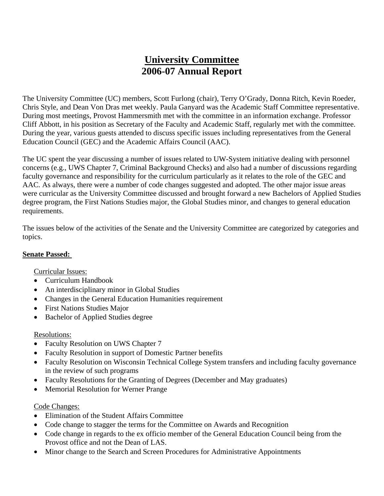# **University Committee 2006-07 Annual Report**

The University Committee (UC) members, Scott Furlong (chair), Terry O'Grady, Donna Ritch, Kevin Roeder, Chris Style, and Dean Von Dras met weekly. Paula Ganyard was the Academic Staff Committee representative. During most meetings, Provost Hammersmith met with the committee in an information exchange. Professor Cliff Abbott, in his position as Secretary of the Faculty and Academic Staff, regularly met with the committee. During the year, various guests attended to discuss specific issues including representatives from the General Education Council (GEC) and the Academic Affairs Council (AAC).

The UC spent the year discussing a number of issues related to UW-System initiative dealing with personnel concerns (e.g., UWS Chapter 7, Criminal Background Checks) and also had a number of discussions regarding faculty governance and responsibility for the curriculum particularly as it relates to the role of the GEC and AAC. As always, there were a number of code changes suggested and adopted. The other major issue areas were curricular as the University Committee discussed and brought forward a new Bachelors of Applied Studies degree program, the First Nations Studies major, the Global Studies minor, and changes to general education requirements.

The issues below of the activities of the Senate and the University Committee are categorized by categories and topics.

# **Senate Passed:**

## Curricular Issues:

- Curriculum Handbook
- An interdisciplinary minor in Global Studies
- Changes in the General Education Humanities requirement
- First Nations Studies Major
- Bachelor of Applied Studies degree

# Resolutions:

- Faculty Resolution on UWS Chapter 7
- Faculty Resolution in support of Domestic Partner benefits
- Faculty Resolution on Wisconsin Technical College System transfers and including faculty governance in the review of such programs
- Faculty Resolutions for the Granting of Degrees (December and May graduates)
- Memorial Resolution for Werner Prange

# Code Changes:

- Elimination of the Student Affairs Committee
- Code change to stagger the terms for the Committee on Awards and Recognition
- Code change in regards to the ex officio member of the General Education Council being from the Provost office and not the Dean of LAS.
- Minor change to the Search and Screen Procedures for Administrative Appointments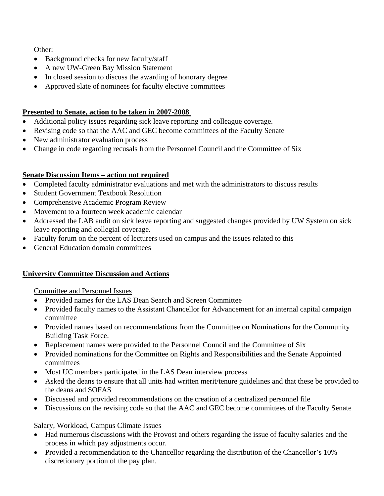Other:

- Background checks for new faculty/staff
- A new UW-Green Bay Mission Statement
- In closed session to discuss the awarding of honorary degree
- Approved slate of nominees for faculty elective committees

# **Presented to Senate, action to be taken in 2007-2008**

- Additional policy issues regarding sick leave reporting and colleague coverage.
- Revising code so that the AAC and GEC become committees of the Faculty Senate
- New administrator evaluation process
- Change in code regarding recusals from the Personnel Council and the Committee of Six

# **Senate Discussion Items – action not required**

- Completed faculty administrator evaluations and met with the administrators to discuss results
- Student Government Textbook Resolution
- Comprehensive Academic Program Review
- Movement to a fourteen week academic calendar
- Addressed the LAB audit on sick leave reporting and suggested changes provided by UW System on sick leave reporting and collegial coverage.
- Faculty forum on the percent of lecturers used on campus and the issues related to this
- General Education domain committees

# **University Committee Discussion and Actions**

Committee and Personnel Issues

- Provided names for the LAS Dean Search and Screen Committee
- Provided faculty names to the Assistant Chancellor for Advancement for an internal capital campaign committee
- Provided names based on recommendations from the Committee on Nominations for the Community Building Task Force.
- Replacement names were provided to the Personnel Council and the Committee of Six
- Provided nominations for the Committee on Rights and Responsibilities and the Senate Appointed committees
- Most UC members participated in the LAS Dean interview process
- Asked the deans to ensure that all units had written merit/tenure guidelines and that these be provided to the deans and SOFAS
- Discussed and provided recommendations on the creation of a centralized personnel file
- Discussions on the revising code so that the AAC and GEC become committees of the Faculty Senate

# Salary, Workload, Campus Climate Issues

- Had numerous discussions with the Provost and others regarding the issue of faculty salaries and the process in which pay adjustments occur.
- Provided a recommendation to the Chancellor regarding the distribution of the Chancellor's 10% discretionary portion of the pay plan.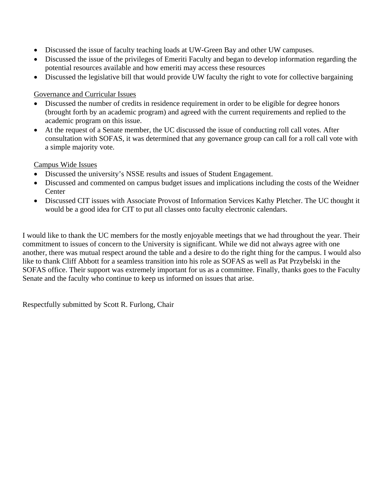- Discussed the issue of faculty teaching loads at UW-Green Bay and other UW campuses.
- Discussed the issue of the privileges of Emeriti Faculty and began to develop information regarding the potential resources available and how emeriti may access these resources
- Discussed the legislative bill that would provide UW faculty the right to vote for collective bargaining

# Governance and Curricular Issues

- Discussed the number of credits in residence requirement in order to be eligible for degree honors (brought forth by an academic program) and agreed with the current requirements and replied to the academic program on this issue.
- At the request of a Senate member, the UC discussed the issue of conducting roll call votes. After consultation with SOFAS, it was determined that any governance group can call for a roll call vote with a simple majority vote.

# Campus Wide Issues

- Discussed the university's NSSE results and issues of Student Engagement.
- Discussed and commented on campus budget issues and implications including the costs of the Weidner **Center**
- Discussed CIT issues with Associate Provost of Information Services Kathy Pletcher. The UC thought it would be a good idea for CIT to put all classes onto faculty electronic calendars.

I would like to thank the UC members for the mostly enjoyable meetings that we had throughout the year. Their commitment to issues of concern to the University is significant. While we did not always agree with one another, there was mutual respect around the table and a desire to do the right thing for the campus. I would also like to thank Cliff Abbott for a seamless transition into his role as SOFAS as well as Pat Przybelski in the SOFAS office. Their support was extremely important for us as a committee. Finally, thanks goes to the Faculty Senate and the faculty who continue to keep us informed on issues that arise.

Respectfully submitted by Scott R. Furlong, Chair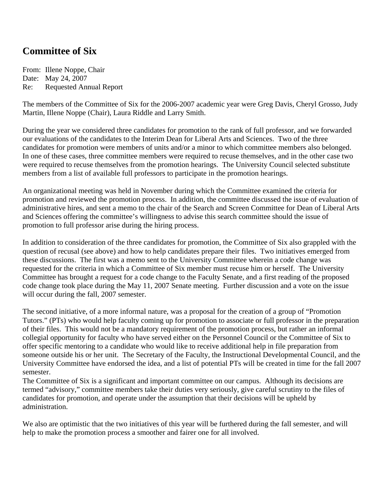# **Committee of Six**

From: Illene Noppe, Chair Date: May 24, 2007 Re: Requested Annual Report

The members of the Committee of Six for the 2006-2007 academic year were Greg Davis, Cheryl Grosso, Judy Martin, Illene Noppe (Chair), Laura Riddle and Larry Smith.

During the year we considered three candidates for promotion to the rank of full professor, and we forwarded our evaluations of the candidates to the Interim Dean for Liberal Arts and Sciences. Two of the three candidates for promotion were members of units and/or a minor to which committee members also belonged. In one of these cases, three committee members were required to recuse themselves, and in the other case two were required to recuse themselves from the promotion hearings. The University Council selected substitute members from a list of available full professors to participate in the promotion hearings.

An organizational meeting was held in November during which the Committee examined the criteria for promotion and reviewed the promotion process. In addition, the committee discussed the issue of evaluation of administrative hires, and sent a memo to the chair of the Search and Screen Committee for Dean of Liberal Arts and Sciences offering the committee's willingness to advise this search committee should the issue of promotion to full professor arise during the hiring process.

In addition to consideration of the three candidates for promotion, the Committee of Six also grappled with the question of recusal (see above) and how to help candidates prepare their files. Two initiatives emerged from these discussions. The first was a memo sent to the University Committee wherein a code change was requested for the criteria in which a Committee of Six member must recuse him or herself. The University Committee has brought a request for a code change to the Faculty Senate, and a first reading of the proposed code change took place during the May 11, 2007 Senate meeting. Further discussion and a vote on the issue will occur during the fall, 2007 semester.

The second initiative, of a more informal nature, was a proposal for the creation of a group of "Promotion Tutors." (PTs) who would help faculty coming up for promotion to associate or full professor in the preparation of their files. This would not be a mandatory requirement of the promotion process, but rather an informal collegial opportunity for faculty who have served either on the Personnel Council or the Committee of Six to offer specific mentoring to a candidate who would like to receive additional help in file preparation from someone outside his or her unit. The Secretary of the Faculty, the Instructional Developmental Council, and the University Committee have endorsed the idea, and a list of potential PTs will be created in time for the fall 2007 semester.

The Committee of Six is a significant and important committee on our campus. Although its decisions are termed "advisory," committee members take their duties very seriously, give careful scrutiny to the files of candidates for promotion, and operate under the assumption that their decisions will be upheld by administration.

We also are optimistic that the two initiatives of this year will be furthered during the fall semester, and will help to make the promotion process a smoother and fairer one for all involved.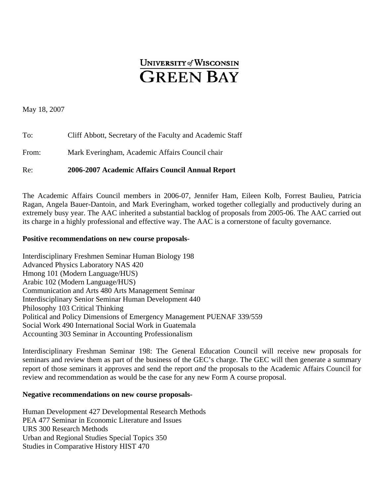# **UNIVERSITY of WISCONSIN GREEN BAY**

May 18, 2007

| Re:   | 2006-2007 Academic Affairs Council Annual Report          |
|-------|-----------------------------------------------------------|
| From: | Mark Everingham, Academic Affairs Council chair           |
| To:   | Cliff Abbott, Secretary of the Faculty and Academic Staff |

The Academic Affairs Council members in 2006-07, Jennifer Ham, Eileen Kolb, Forrest Baulieu, Patricia Ragan, Angela Bauer-Dantoin, and Mark Everingham, worked together collegially and productively during an extremely busy year. The AAC inherited a substantial backlog of proposals from 2005-06. The AAC carried out its charge in a highly professional and effective way. The AAC is a cornerstone of faculty governance.

## **Positive recommendations on new course proposals**-

Interdisciplinary Freshmen Seminar Human Biology 198 Advanced Physics Laboratory NAS 420 Hmong 101 (Modern Language/HUS) Arabic 102 (Modern Language/HUS) Communication and Arts 480 Arts Management Seminar Interdisciplinary Senior Seminar Human Development 440 Philosophy 103 Critical Thinking Political and Policy Dimensions of Emergency Management PUENAF 339/559 Social Work 490 International Social Work in Guatemala Accounting 303 Seminar in Accounting Professionalism

Interdisciplinary Freshman Seminar 198: The General Education Council will receive new proposals for seminars and review them as part of the business of the GEC's charge. The GEC will then generate a summary report of those seminars it approves and send the report *and* the proposals to the Academic Affairs Council for review and recommendation as would be the case for any new Form A course proposal.

## **Negative recommendations on new course proposals-**

Human Development 427 Developmental Research Methods PEA 477 Seminar in Economic Literature and Issues URS 300 Research Methods Urban and Regional Studies Special Topics 350 Studies in Comparative History HIST 470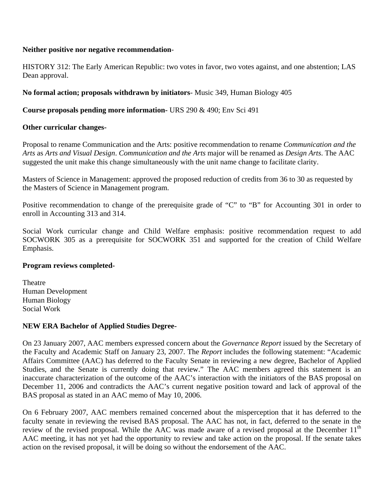## **Neither positive nor negative recommendation**-

HISTORY 312: The Early American Republic: two votes in favor, two votes against, and one abstention; LAS Dean approval.

# **No formal action; proposals withdrawn by initiators**- Music 349, Human Biology 405

## **Course proposals pending more information-** URS 290 & 490; Env Sci 491

## **Other curricular changes-**

Proposal to rename Communication and the Arts: positive recommendation to rename *Communication and the Arts* as *Arts and Visual Design*. *Communication and the Arts* major will be renamed as *Design Arts*. The AAC suggested the unit make this change simultaneously with the unit name change to facilitate clarity.

Masters of Science in Management: approved the proposed reduction of credits from 36 to 30 as requested by the Masters of Science in Management program.

Positive recommendation to change of the prerequisite grade of "C" to "B" for Accounting 301 in order to enroll in Accounting 313 and 314.

Social Work curricular change and Child Welfare emphasis: positive recommendation request to add SOCWORK 305 as a prerequisite for SOCWORK 351 and supported for the creation of Child Welfare Emphasis.

## **Program reviews completed-**

**Theatre** Human Development Human Biology Social Work

# **NEW ERA Bachelor of Applied Studies Degree-**

On 23 January 2007, AAC members expressed concern about the *Governance Report* issued by the Secretary of the Faculty and Academic Staff on January 23, 2007. The *Report* includes the following statement: "Academic Affairs Committee (AAC) has deferred to the Faculty Senate in reviewing a new degree, Bachelor of Applied Studies, and the Senate is currently doing that review." The AAC members agreed this statement is an inaccurate characterization of the outcome of the AAC's interaction with the initiators of the BAS proposal on December 11, 2006 and contradicts the AAC's current negative position toward and lack of approval of the BAS proposal as stated in an AAC memo of May 10, 2006.

On 6 February 2007, AAC members remained concerned about the misperception that it has deferred to the faculty senate in reviewing the revised BAS proposal. The AAC has not, in fact, deferred to the senate in the review of the revised proposal. While the AAC was made aware of a revised proposal at the December 11<sup>th</sup> AAC meeting, it has not yet had the opportunity to review and take action on the proposal. If the senate takes action on the revised proposal, it will be doing so without the endorsement of the AAC.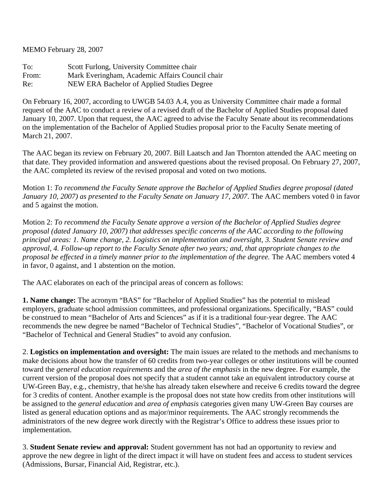MEMO February 28, 2007

To: Scott Furlong, University Committee chair From: Mark Everingham, Academic Affairs Council chair Re: NEW ERA Bachelor of Applied Studies Degree

On February 16, 2007, according to UWGB 54.03 A.4, you as University Committee chair made a formal request of the AAC to conduct a review of a revised draft of the Bachelor of Applied Studies proposal dated January 10, 2007. Upon that request, the AAC agreed to advise the Faculty Senate about its recommendations on the implementation of the Bachelor of Applied Studies proposal prior to the Faculty Senate meeting of March 21, 2007.

The AAC began its review on February 20, 2007. Bill Laatsch and Jan Thornton attended the AAC meeting on that date. They provided information and answered questions about the revised proposal. On February 27, 2007, the AAC completed its review of the revised proposal and voted on two motions.

Motion 1: *To recommend the Faculty Senate approve the Bachelor of Applied Studies degree proposal (dated January 10, 2007) as presented to the Faculty Senate on January 17, 2007*. The AAC members voted 0 in favor and 5 against the motion.

Motion 2: *To recommend the Faculty Senate approve a version of the Bachelor of Applied Studies degree proposal (dated January 10, 2007) that addresses specific concerns of the AAC according to the following principal areas: 1. Name change, 2. Logistics on implementation and oversight, 3. Student Senate review and approval, 4. Follow-up report to the Faculty Senate after two years; and, that appropriate changes to the proposal be effected in a timely manner prior to the implementation of the degree.* The AAC members voted 4 in favor, 0 against, and 1 abstention on the motion.

The AAC elaborates on each of the principal areas of concern as follows:

**1. Name change:** The acronym "BAS" for "Bachelor of Applied Studies" has the potential to mislead employers, graduate school admission committees, and professional organizations. Specifically, "BAS" could be construed to mean "Bachelor of Arts and Sciences" as if it is a traditional four-year degree. The AAC recommends the new degree be named "Bachelor of Technical Studies", "Bachelor of Vocational Studies", or "Bachelor of Technical and General Studies" to avoid any confusion.

2. **Logistics on implementation and oversight:** The main issues are related to the methods and mechanisms to make decisions about how the transfer of 60 credits from two-year colleges or other institutions will be counted toward the *general education requirements* and the *area of the emphasis* in the new degree. For example, the current version of the proposal does not specify that a student cannot take an equivalent introductory course at UW-Green Bay, e.g., chemistry, that he/she has already taken elsewhere and receive 6 credits toward the degree for 3 credits of content. Another example is the proposal does not state how credits from other institutions will be assigned to the *general education* and *area of emphasis* categories given many UW-Green Bay courses are listed as general education options and as major/minor requirements. The AAC strongly recommends the administrators of the new degree work directly with the Registrar's Office to address these issues prior to implementation.

3. **Student Senate review and approval:** Student government has not had an opportunity to review and approve the new degree in light of the direct impact it will have on student fees and access to student services (Admissions, Bursar, Financial Aid, Registrar, etc.).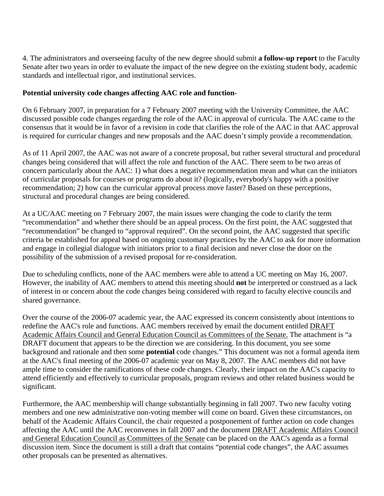4. The administrators and overseeing faculty of the new degree should submit **a follow-up report** to the Faculty Senate after two years in order to evaluate the impact of the new degree on the existing student body, academic standards and intellectual rigor, and institutional services.

# **Potential university code changes affecting AAC role and function-**

On 6 February 2007, in preparation for a 7 February 2007 meeting with the University Committee, the AAC discussed possible code changes regarding the role of the AAC in approval of curricula. The AAC came to the consensus that it would be in favor of a revision in code that clarifies the role of the AAC in that AAC approval is required for curricular changes and new proposals and the AAC doesn't simply provide a recommendation.

As of 11 April 2007, the AAC was not aware of a concrete proposal, but rather several structural and procedural changes being considered that will affect the role and function of the AAC. There seem to be two areas of concern particularly about the AAC: 1) what does a negative recommendation mean and what can the initiators of curricular proposals for courses or programs do about it? (logically, everybody's happy with a positive recommendation; 2) how can the curricular approval process move faster? Based on these perceptions, structural and procedural changes are being considered.

At a UC/AAC meeting on 7 February 2007, the main issues were changing the code to clarify the term "recommendation" and whether there should be an appeal process. On the first point, the AAC suggested that "recommendation" be changed to "approval required". On the second point, the AAC suggested that specific criteria be established for appeal based on ongoing customary practices by the AAC to ask for more information and engage in collegial dialogue with initiators prior to a final decision and never close the door on the possibility of the submission of a revised proposal for re-consideration.

Due to scheduling conflicts, none of the AAC members were able to attend a UC meeting on May 16, 2007. However, the inability of AAC members to attend this meeting should **not** be interpreted or construed as a lack of interest in or concern about the code changes being considered with regard to faculty elective councils and shared governance.

Over the course of the 2006-07 academic year, the AAC expressed its concern consistently about intentions to redefine the AAC's role and functions. AAC members received by email the document entitled DRAFT Academic Affairs Council and General Education Council as Committees of the Senate. The attachment is "a DRAFT document that appears to be the direction we are considering. In this document, you see some background and rationale and then some **potential** code changes." This document was not a formal agenda item at the AAC's final meeting of the 2006-07 academic year on May 8, 2007. The AAC members did not have ample time to consider the ramifications of these code changes. Clearly, their impact on the AAC's capacity to attend efficiently and effectively to curricular proposals, program reviews and other related business would be significant.

Furthermore, the AAC membership will change substantially beginning in fall 2007. Two new faculty voting members and one new administrative non-voting member will come on board. Given these circumstances, on behalf of the Academic Affairs Council, the chair requested a postponement of further action on code changes affecting the AAC until the AAC reconvenes in fall 2007 and the document DRAFT Academic Affairs Council and General Education Council as Committees of the Senate can be placed on the AAC's agenda as a formal discussion item. Since the document is still a draft that contains "potential code changes", the AAC assumes other proposals can be presented as alternatives.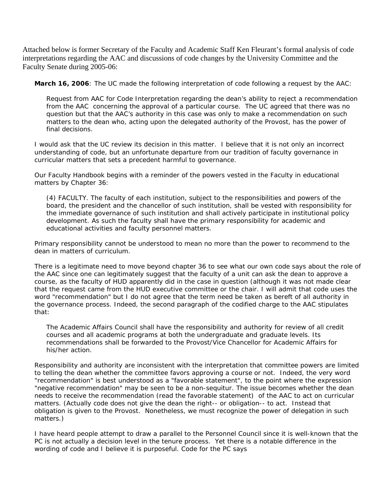Attached below is former Secretary of the Faculty and Academic Staff Ken Fleurant's formal analysis of code interpretations regarding the AAC and discussions of code changes by the University Committee and the Faculty Senate during 2005-06:

**March 16, 2006***: The UC made the following interpretation of code following a request by the AAC:* 

*Request from AAC for Code Interpretation regarding the dean's ability to reject a recommendation from the AAC concerning the approval of a particular course. The UC agreed that there was no question but that the AAC's authority in this case was only to make a recommendation on such matters to the dean who, acting upon the delegated authority of the Provost, has the power of final decisions.* 

*I would ask that the UC review its decision in this matter. I believe that it is not only an incorrect understanding of code, but an unfortunate departure from our tradition of faculty governance in curricular matters that sets a precedent harmful to governance.* 

*Our Faculty Handbook begins with a reminder of the powers vested in the Faculty in educational matters by Chapter 36:* 

*(4) FACULTY. The faculty of each institution, subject to the responsibilities and powers of the board, the president and the chancellor of such institution, shall be vested with responsibility for the immediate governance of such institution and shall actively participate in institutional policy development. As such the faculty shall have the primary responsibility for academic and educational activities and faculty personnel matters.* 

*Primary responsibility cannot be understood to mean no more than the power to recommend to the dean in matters of curriculum.* 

*There is a legitimate need to move beyond chapter 36 to see what our own code says about the role of the AAC since one can legitimately suggest that the faculty of a unit can ask the dean to approve a course, as the faculty of HUD apparently did in the case in question (although it was not made clear that the request came from the HUD executive committee or the chair. I will admit that code uses the word "recommendation" but I do not agree that the term need be taken as bereft of all authority in the governance process. Indeed, the second paragraph of the codified charge to the AAC stipulates that:* 

*The Academic Affairs Council shall have the responsibility and authority for review of all credit courses and all academic programs at both the undergraduate and graduate levels. Its recommendations shall be forwarded to the Provost/Vice Chancellor for Academic Affairs for his/her action.* 

*Responsibility and authority are inconsistent with the interpretation that committee powers are limited*  to telling the dean whether the committee favors approving a course or not. Indeed, the very word *"recommendation" is best understood as a "favorable statement", to the point where the expression "negative recommendation" may be seen to be a non-sequitur. The issue becomes whether the dean needs to receive the recommendation (read the favorable statement) of the AAC to act on curricular matters. (Actually code does not give the dean the right-- or obligation-- to act. Instead that obligation is given to the Provost. Nonetheless, we must recognize the power of delegation in such matters.)* 

*I have heard people attempt to draw a parallel to the Personnel Council since it is well-known that the PC is not actually a decision level in the tenure process. Yet there is a notable difference in the wording of code and I believe it is purposeful. Code for the PC says*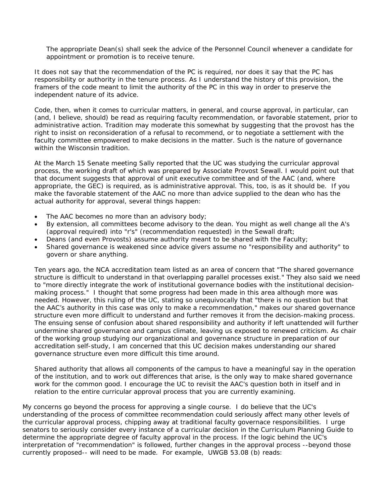*The appropriate Dean(s) shall seek the advice of the Personnel Council whenever a candidate for appointment or promotion is to receive tenure.* 

*It does not say that the recommendation of the PC is required, nor does it say that the PC has responsibility or authority in the tenure process. As I understand the history of this provision, the framers of the code meant to limit the authority of the PC in this way in order to preserve the independent nature of its advice.* 

*Code, then, when it comes to curricular matters, in general, and course approval, in particular, can (and, I believe, should) be read as requiring faculty recommendation, or favorable statement, prior to administrative action. Tradition may moderate this somewhat by suggesting that the provost has the right to insist on reconsideration of a refusal to recommend, or to negotiate a settlement with the faculty committee empowered to make decisions in the matter. Such is the nature of governance within the Wisconsin tradition.* 

*At the March 15 Senate meeting Sally reported that the UC was studying the curricular approval process, the working draft of which was prepared by Associate Provost Sewall. I would point out that that document suggests that approval of unit executive committee and of the AAC (and, where appropriate, the GEC) is required, as is administrative approval. This, too, is as it should be. If you make the favorable statement of the AAC no more than advice supplied to the dean who has the actual authority for approval, several things happen:* 

- *The AAC becomes no more than an advisory body;*
- *By extension, all committees become advisory to the dean. You might as well change all the A's (approval required) into "r's" (recommendation requested) in the Sewall draft;*
- *Deans (and even Provosts) assume authority meant to be shared with the Faculty;*
- *Shared governance is weakened since advice givers assume no "responsibility and authority" to govern or share anything.*

*Ten years ago, the NCA accreditation team listed as an area of concern that "The shared governance structure is difficult to understand in that overlapping parallel processes exist." They also said we need to "more directly integrate the work of institutional governance bodies with the institutional decisionmaking process." I thought that some progress had been made in this area although more was needed. However, this ruling of the UC, stating so unequivocally that "there is no question but that the AAC's authority in this case was only to make a recommendation," makes our shared governance structure even more difficult to understand and further removes it from the decision-making process. The ensuing sense of confusion about shared responsibility and authority if left unattended will further undermine shared governance and campus climate, leaving us exposed to renewed criticism. As chair of the working group studying our organizational and governance structure in preparation of our accreditation self-study, I am concerned that this UC decision makes understanding our shared governance structure even more difficult this time around.* 

*Shared authority that allows all components of the campus to have a meaningful say in the operation of the institution, and to work out differences that arise, is the only way to make shared governance work for the common good. I encourage the UC to revisit the AAC's question both in itself and in relation to the entire curricular approval process that you are currently examining.* 

*My concerns go beyond the process for approving a single course. I do believe that the UC's understanding of the process of committee recommendation could seriously affect many other levels of the curricular approval process, chipping away at traditional faculty governace responsibilities. I urge senators to seriously consider every instance of a curricular decision in the Curriculum Planning Guide to determine the appropriate degree of faculty approval in the process. If the logic behind the UC's interpretation of "recommendation" is followed, further changes in the approval process --beyond those currently proposed-- will need to be made. For example, UWGB 53.08 (b) reads:*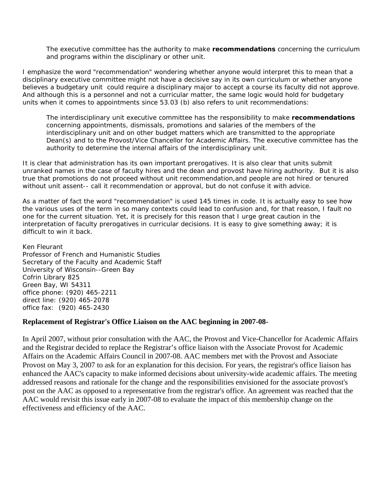*The executive committee has the authority to make recommendations concerning the curriculum and programs within the disciplinary or other unit.* 

*I emphasize the word "recommendation" wondering whether anyone would interpret this to mean that a disciplinary executive committee might not have a decisive say in its own curriculum or whether anyone*  believes a budgetary unit could require a disciplinary major to accept a course its faculty did not approve. *And although this is a personnel and not a curricular matter, the same logic would hold for budgetary units when it comes to appointments since 53.03 (b) also refers to unit recommendations:* 

*The interdisciplinary unit executive committee has the responsibility to make recommendations concerning appointments, dismissals, promotions and salaries of the members of the interdisciplinary unit and on other budget matters which are transmitted to the appropriate Dean(s) and to the Provost/Vice Chancellor for Academic Affairs. The executive committee has the authority to determine the internal affairs of the interdisciplinary unit.* 

It is clear that administration has its own important prerogatives. It is also clear that units submit *unranked names in the case of faculty hires and the dean and provost have hiring authority. But it is also true that promotions do not proceed without unit recommendation,and people are not hired or tenured without unit assent-- call it recommendation or approval, but do not confuse it with advice.* 

*As a matter of fact the word "recommendation" is used 145 times in code. It is actually easy to see how the various uses of the term in so many contexts could lead to confusion and, for that reason, I fault no one for the current situation. Yet, it is precisely for this reason that I urge great caution in the interpretation of faculty prerogatives in curricular decisions. It is easy to give something away; it is difficult to win it back.* 

*Ken Fleurant Professor of French and Humanistic Studies Secretary of the Faculty and Academic Staff University of Wisconsin--Green Bay Cofrin Library 825 Green Bay, WI 54311 office phone: (920) 465-2211 direct line: (920) 465-2078 office fax: (920) 465-2430* 

#### **Replacement of Registrar's Office Liaison on the AAC beginning in 2007-08-**

In April 2007, without prior consultation with the AAC, the Provost and Vice-Chancellor for Academic Affairs and the Registrar decided to replace the Registrar's office liaison with the Associate Provost for Academic Affairs on the Academic Affairs Council in 2007-08. AAC members met with the Provost and Associate Provost on May 3, 2007 to ask for an explanation for this decision. For years, the registrar's office liaison has enhanced the AAC's capacity to make informed decisions about university-wide academic affairs. The meeting addressed reasons and rationale for the change and the responsibilities envisioned for the associate provost's post on the AAC as opposed to a representative from the registrar's office. An agreement was reached that the AAC would revisit this issue early in 2007-08 to evaluate the impact of this membership change on the effectiveness and efficiency of the AAC.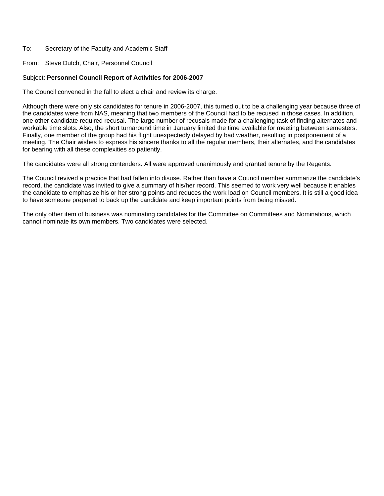#### To: Secretary of the Faculty and Academic Staff

From: Steve Dutch, Chair, Personnel Council

#### Subject: **Personnel Council Report of Activities for 2006-2007**

The Council convened in the fall to elect a chair and review its charge.

Although there were only six candidates for tenure in 2006-2007, this turned out to be a challenging year because three of the candidates were from NAS, meaning that two members of the Council had to be recused in those cases. In addition, one other candidate required recusal. The large number of recusals made for a challenging task of finding alternates and workable time slots. Also, the short turnaround time in January limited the time available for meeting between semesters. Finally, one member of the group had his flight unexpectedly delayed by bad weather, resulting in postponement of a meeting. The Chair wishes to express his sincere thanks to all the regular members, their alternates, and the candidates for bearing with all these complexities so patiently.

The candidates were all strong contenders. All were approved unanimously and granted tenure by the Regents.

The Council revived a practice that had fallen into disuse. Rather than have a Council member summarize the candidate's record, the candidate was invited to give a summary of his/her record. This seemed to work very well because it enables the candidate to emphasize his or her strong points and reduces the work load on Council members. It is still a good idea to have someone prepared to back up the candidate and keep important points from being missed.

The only other item of business was nominating candidates for the Committee on Committees and Nominations, which cannot nominate its own members. Two candidates were selected.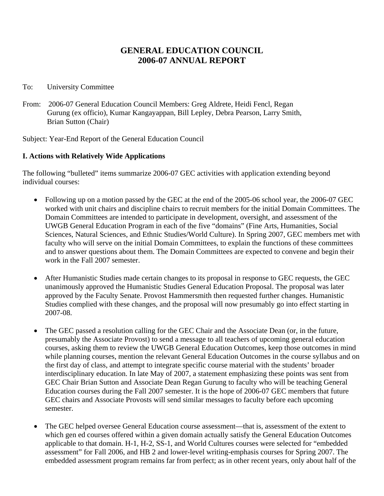# **GENERAL EDUCATION COUNCIL 2006-07 ANNUAL REPORT**

## To: University Committee

From: 2006-07 General Education Council Members: Greg Aldrete, Heidi Fencl, Regan Gurung (ex officio), Kumar Kangayappan, Bill Lepley, Debra Pearson, Larry Smith, Brian Sutton (Chair)

Subject: Year-End Report of the General Education Council

# **I. Actions with Relatively Wide Applications**

The following "bulleted" items summarize 2006-07 GEC activities with application extending beyond individual courses:

- Following up on a motion passed by the GEC at the end of the 2005-06 school year, the 2006-07 GEC worked with unit chairs and discipline chairs to recruit members for the initial Domain Committees. The Domain Committees are intended to participate in development, oversight, and assessment of the UWGB General Education Program in each of the five "domains" (Fine Arts, Humanities, Social Sciences, Natural Sciences, and Ethnic Studies/World Culture). In Spring 2007, GEC members met with faculty who will serve on the initial Domain Committees, to explain the functions of these committees and to answer questions about them. The Domain Committees are expected to convene and begin their work in the Fall 2007 semester.
- After Humanistic Studies made certain changes to its proposal in response to GEC requests, the GEC unanimously approved the Humanistic Studies General Education Proposal. The proposal was later approved by the Faculty Senate. Provost Hammersmith then requested further changes. Humanistic Studies complied with these changes, and the proposal will now presumably go into effect starting in 2007-08.
- The GEC passed a resolution calling for the GEC Chair and the Associate Dean (or, in the future, presumably the Associate Provost) to send a message to all teachers of upcoming general education courses, asking them to review the UWGB General Education Outcomes, keep those outcomes in mind while planning courses, mention the relevant General Education Outcomes in the course syllabus and on the first day of class, and attempt to integrate specific course material with the students' broader interdisciplinary education. In late May of 2007, a statement emphasizing these points was sent from GEC Chair Brian Sutton and Associate Dean Regan Gurung to faculty who will be teaching General Education courses during the Fall 2007 semester. It is the hope of 2006-07 GEC members that future GEC chairs and Associate Provosts will send similar messages to faculty before each upcoming semester.
- The GEC helped oversee General Education course assessment—that is, assessment of the extent to which gen ed courses offered within a given domain actually satisfy the General Education Outcomes applicable to that domain. H-1, H-2, SS-1, and World Cultures courses were selected for "embedded assessment" for Fall 2006, and HB 2 and lower-level writing-emphasis courses for Spring 2007. The embedded assessment program remains far from perfect; as in other recent years, only about half of the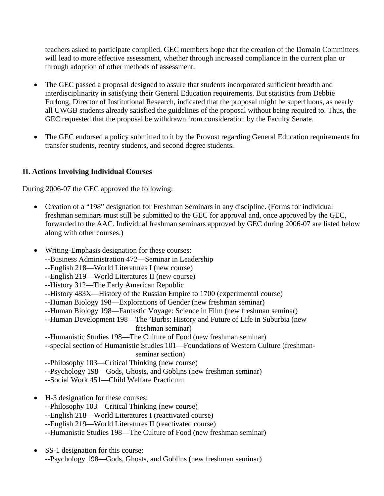teachers asked to participate complied. GEC members hope that the creation of the Domain Committees will lead to more effective assessment, whether through increased compliance in the current plan or through adoption of other methods of assessment.

- The GEC passed a proposal designed to assure that students incorporated sufficient breadth and interdisciplinarity in satisfying their General Education requirements. But statistics from Debbie Furlong, Director of Institutional Research, indicated that the proposal might be superfluous, as nearly all UWGB students already satisfied the guidelines of the proposal without being required to. Thus, the GEC requested that the proposal be withdrawn from consideration by the Faculty Senate.
- The GEC endorsed a policy submitted to it by the Provost regarding General Education requirements for transfer students, reentry students, and second degree students.

# **II. Actions Involving Individual Courses**

During 2006-07 the GEC approved the following:

- Creation of a "198" designation for Freshman Seminars in any discipline. (Forms for individual freshman seminars must still be submitted to the GEC for approval and, once approved by the GEC, forwarded to the AAC. Individual freshman seminars approved by GEC during 2006-07 are listed below along with other courses.)
- Writing-Emphasis designation for these courses:
	- --Business Administration 472—Seminar in Leadership
	- --English 218—World Literatures I (new course)
	- --English 219—World Literatures II (new course)
	- --History 312—The Early American Republic
	- --History 483X—History of the Russian Empire to 1700 (experimental course)
	- --Human Biology 198—Explorations of Gender (new freshman seminar)
	- --Human Biology 198—Fantastic Voyage: Science in Film (new freshman seminar)
	- --Human Development 198—The 'Burbs: History and Future of Life in Suburbia (new freshman seminar)
	- --Humanistic Studies 198—The Culture of Food (new freshman seminar)
	- --special section of Humanistic Studies 101—Foundations of Western Culture (freshman seminar section)
	- --Philosophy 103—Critical Thinking (new course)
	- --Psychology 198—Gods, Ghosts, and Goblins (new freshman seminar)
	- --Social Work 451—Child Welfare Practicum
- H-3 designation for these courses:
	- --Philosophy 103—Critical Thinking (new course)
	- --English 218—World Literatures I (reactivated course)
	- --English 219—World Literatures II (reactivated course)
	- --Humanistic Studies 198—The Culture of Food (new freshman seminar)
- SS-1 designation for this course: --Psychology 198—Gods, Ghosts, and Goblins (new freshman seminar)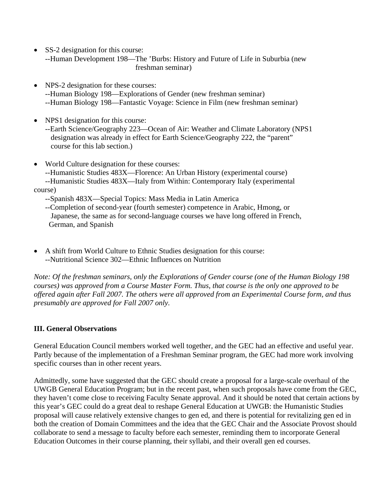- SS-2 designation for this course: --Human Development 198—The 'Burbs: History and Future of Life in Suburbia (new freshman seminar)
- NPS-2 designation for these courses: --Human Biology 198—Explorations of Gender (new freshman seminar) --Human Biology 198—Fantastic Voyage: Science in Film (new freshman seminar)
- NPS1 designation for this course:

 --Earth Science/Geography 223—Ocean of Air: Weather and Climate Laboratory (NPS1 designation was already in effect for Earth Science/Geography 222, the "parent" course for this lab section.)

- World Culture designation for these courses:
	- --Humanistic Studies 483X—Florence: An Urban History (experimental course)
- --Humanistic Studies 483X—Italy from Within: Contemporary Italy (experimental course)
	- --Spanish 483X—Special Topics: Mass Media in Latin America
	- --Completion of second-year (fourth semester) competence in Arabic, Hmong, or Japanese, the same as for second-language courses we have long offered in French, German, and Spanish
- A shift from World Culture to Ethnic Studies designation for this course: --Nutritional Science 302—Ethnic Influences on Nutrition

*Note: Of the freshman seminars, only the Explorations of Gender course (one of the Human Biology 198 courses) was approved from a Course Master Form. Thus, that course is the only one approved to be offered again after Fall 2007. The others were all approved from an Experimental Course form, and thus presumably are approved for Fall 2007 only.*

# **III. General Observations**

General Education Council members worked well together, and the GEC had an effective and useful year. Partly because of the implementation of a Freshman Seminar program, the GEC had more work involving specific courses than in other recent years.

Admittedly, some have suggested that the GEC should create a proposal for a large-scale overhaul of the UWGB General Education Program; but in the recent past, when such proposals have come from the GEC, they haven't come close to receiving Faculty Senate approval. And it should be noted that certain actions by this year's GEC could do a great deal to reshape General Education at UWGB: the Humanistic Studies proposal will cause relatively extensive changes to gen ed, and there is potential for revitalizing gen ed in both the creation of Domain Committees and the idea that the GEC Chair and the Associate Provost should collaborate to send a message to faculty before each semester, reminding them to incorporate General Education Outcomes in their course planning, their syllabi, and their overall gen ed courses.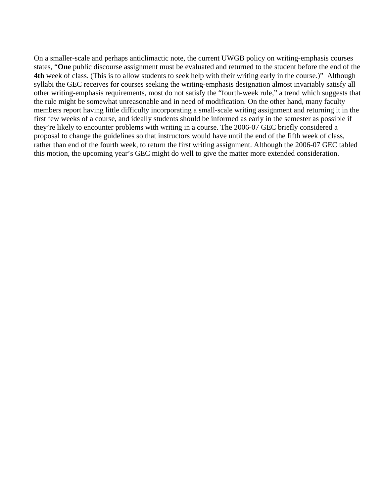On a smaller-scale and perhaps anticlimactic note, the current UWGB policy on writing-emphasis courses states, "**One** public discourse assignment must be evaluated and returned to the student before the end of the **4th** week of class. (This is to allow students to seek help with their writing early in the course.)" Although syllabi the GEC receives for courses seeking the writing-emphasis designation almost invariably satisfy all other writing-emphasis requirements, most do not satisfy the "fourth-week rule," a trend which suggests that the rule might be somewhat unreasonable and in need of modification. On the other hand, many faculty members report having little difficulty incorporating a small-scale writing assignment and returning it in the first few weeks of a course, and ideally students should be informed as early in the semester as possible if they're likely to encounter problems with writing in a course. The 2006-07 GEC briefly considered a proposal to change the guidelines so that instructors would have until the end of the fifth week of class, rather than end of the fourth week, to return the first writing assignment. Although the 2006-07 GEC tabled this motion, the upcoming year's GEC might do well to give the matter more extended consideration.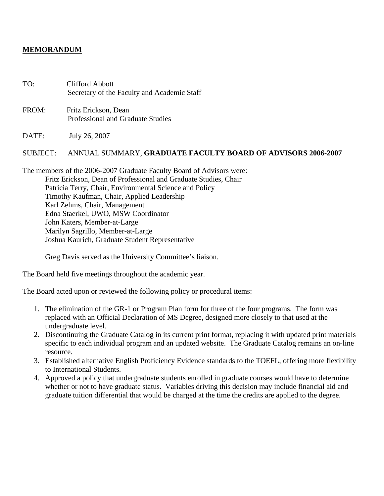## **MEMORANDUM**

TO: Clifford Abbott Secretary of the Faculty and Academic Staff

FROM: Fritz Erickson, Dean Professional and Graduate Studies

DATE: July 26, 2007

## SUBJECT: ANNUAL SUMMARY, **GRADUATE FACULTY BOARD OF ADVISORS 2006-2007**

The members of the 2006-2007 Graduate Faculty Board of Advisors were: Fritz Erickson, Dean of Professional and Graduate Studies, Chair Patricia Terry, Chair, Environmental Science and Policy Timothy Kaufman, Chair, Applied Leadership Karl Zehms, Chair, Management Edna Staerkel, UWO, MSW Coordinator John Katers, Member-at-Large Marilyn Sagrillo, Member-at-Large Joshua Kaurich, Graduate Student Representative

Greg Davis served as the University Committee's liaison.

The Board held five meetings throughout the academic year.

The Board acted upon or reviewed the following policy or procedural items:

- 1. The elimination of the GR-1 or Program Plan form for three of the four programs. The form was replaced with an Official Declaration of MS Degree, designed more closely to that used at the undergraduate level.
- 2. Discontinuing the Graduate Catalog in its current print format, replacing it with updated print materials specific to each individual program and an updated website. The Graduate Catalog remains an on-line resource.
- 3. Established alternative English Proficiency Evidence standards to the TOEFL, offering more flexibility to International Students.
- 4. Approved a policy that undergraduate students enrolled in graduate courses would have to determine whether or not to have graduate status. Variables driving this decision may include financial aid and graduate tuition differential that would be charged at the time the credits are applied to the degree.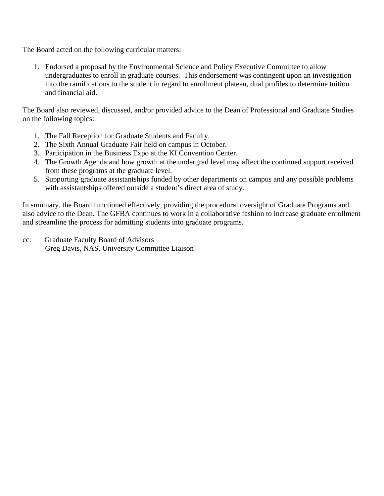The Board acted on the following curricular matters:

1. Endorsed a proposal by the Environmental Science and Policy Executive Committee to allow undergraduates to enroll in graduate courses. This endorsement was contingent upon an investigation into the ramifications to the student in regard to enrollment plateau, dual profiles to determine tuition and financial aid.

The Board also reviewed, discussed, and/or provided advice to the Dean of Professional and Graduate Studies on the following topics:

- 1. The Fall Reception for Graduate Students and Faculty.
- 2. The Sixth Annual Graduate Fair held on campus in October.
- 3. Participation in the Business Expo at the KI Convention Center.
- 4. The Growth Agenda and how growth at the undergrad level may affect the continued support received from these programs at the graduate level.
- 5. Supporting graduate assistantships funded by other departments on campus and any possible problems with assistantships offered outside a student's direct area of study.

In summary, the Board functioned effectively, providing the procedural oversight of Graduate Programs and also advice to the Dean. The GFBA continues to work in a collaborative fashion to increase graduate enrollment and streamline the process for admitting students into graduate programs.

cc: Graduate Faculty Board of Advisors Greg Davis, NAS, University Committee Liaison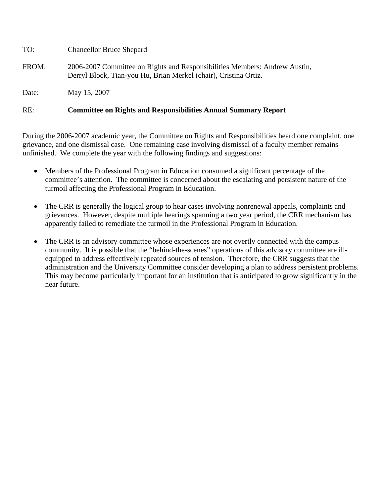| RE:   | <b>Committee on Rights and Responsibilities Annual Summary Report</b>                                                                          |
|-------|------------------------------------------------------------------------------------------------------------------------------------------------|
| Date: | May 15, 2007                                                                                                                                   |
| FROM: | 2006-2007 Committee on Rights and Responsibilities Members: Andrew Austin,<br>Derryl Block, Tian-you Hu, Brian Merkel (chair), Cristina Ortiz. |
| TO:   | <b>Chancellor Bruce Shepard</b>                                                                                                                |

During the 2006-2007 academic year, the Committee on Rights and Responsibilities heard one complaint, one grievance, and one dismissal case. One remaining case involving dismissal of a faculty member remains unfinished. We complete the year with the following findings and suggestions:

- Members of the Professional Program in Education consumed a significant percentage of the committee's attention. The committee is concerned about the escalating and persistent nature of the turmoil affecting the Professional Program in Education.
- The CRR is generally the logical group to hear cases involving nonrenewal appeals, complaints and grievances. However, despite multiple hearings spanning a two year period, the CRR mechanism has apparently failed to remediate the turmoil in the Professional Program in Education.
- The CRR is an advisory committee whose experiences are not overtly connected with the campus community. It is possible that the "behind-the-scenes" operations of this advisory committee are illequipped to address effectively repeated sources of tension. Therefore, the CRR suggests that the administration and the University Committee consider developing a plan to address persistent problems. This may become particularly important for an institution that is anticipated to grow significantly in the near future.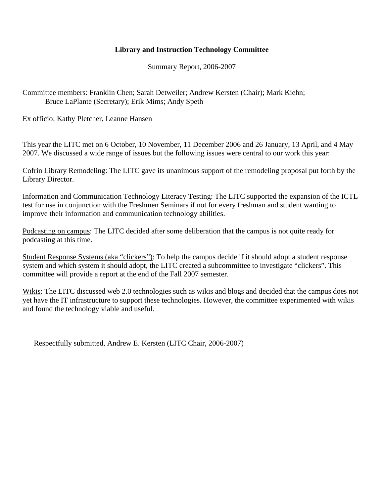# **Library and Instruction Technology Committee**

Summary Report, 2006-2007

Committee members: Franklin Chen; Sarah Detweiler; Andrew Kersten (Chair); Mark Kiehn; Bruce LaPlante (Secretary); Erik Mims; Andy Speth

Ex officio: Kathy Pletcher, Leanne Hansen

This year the LITC met on 6 October, 10 November, 11 December 2006 and 26 January, 13 April, and 4 May 2007. We discussed a wide range of issues but the following issues were central to our work this year:

Cofrin Library Remodeling: The LITC gave its unanimous support of the remodeling proposal put forth by the Library Director.

Information and Communication Technology Literacy Testing: The LITC supported the expansion of the ICTL test for use in conjunction with the Freshmen Seminars if not for every freshman and student wanting to improve their information and communication technology abilities.

Podcasting on campus: The LITC decided after some deliberation that the campus is not quite ready for podcasting at this time.

Student Response Systems (aka "clickers"): To help the campus decide if it should adopt a student response system and which system it should adopt, the LITC created a subcommittee to investigate "clickers". This committee will provide a report at the end of the Fall 2007 semester.

Wikis: The LITC discussed web 2.0 technologies such as wikis and blogs and decided that the campus does not yet have the IT infrastructure to support these technologies. However, the committee experimented with wikis and found the technology viable and useful.

Respectfully submitted, Andrew E. Kersten (LITC Chair, 2006-2007)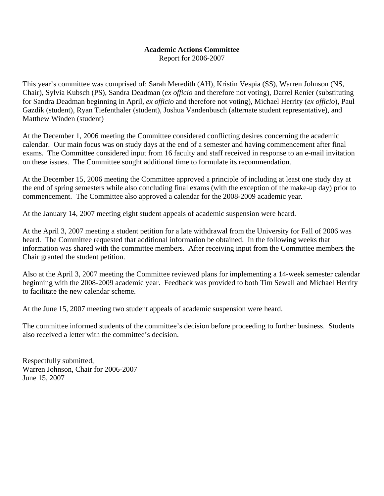# **Academic Actions Committee**

Report for 2006-2007

This year's committee was comprised of: Sarah Meredith (AH), Kristin Vespia (SS), Warren Johnson (NS, Chair), Sylvia Kubsch (PS), Sandra Deadman (*ex officio* and therefore not voting), Darrel Renier (substituting for Sandra Deadman beginning in April, *ex officio* and therefore not voting), Michael Herrity (*ex officio*), Paul Gazdik (student), Ryan Tiefenthaler (student), Joshua Vandenbusch (alternate student representative), and Matthew Winden (student)

At the December 1, 2006 meeting the Committee considered conflicting desires concerning the academic calendar. Our main focus was on study days at the end of a semester and having commencement after final exams. The Committee considered input from 16 faculty and staff received in response to an e-mail invitation on these issues. The Committee sought additional time to formulate its recommendation.

At the December 15, 2006 meeting the Committee approved a principle of including at least one study day at the end of spring semesters while also concluding final exams (with the exception of the make-up day) prior to commencement. The Committee also approved a calendar for the 2008-2009 academic year.

At the January 14, 2007 meeting eight student appeals of academic suspension were heard.

At the April 3, 2007 meeting a student petition for a late withdrawal from the University for Fall of 2006 was heard. The Committee requested that additional information be obtained. In the following weeks that information was shared with the committee members. After receiving input from the Committee members the Chair granted the student petition.

Also at the April 3, 2007 meeting the Committee reviewed plans for implementing a 14-week semester calendar beginning with the 2008-2009 academic year. Feedback was provided to both Tim Sewall and Michael Herrity to facilitate the new calendar scheme.

At the June 15, 2007 meeting two student appeals of academic suspension were heard.

The committee informed students of the committee's decision before proceeding to further business. Students also received a letter with the committee's decision.

Respectfully submitted, Warren Johnson, Chair for 2006-2007 June 15, 2007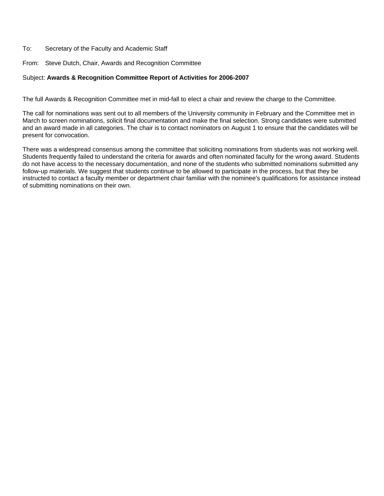#### To: Secretary of the Faculty and Academic Staff

From: Steve Dutch, Chair, Awards and Recognition Committee

#### Subject: **Awards & Recognition Committee Report of Activities for 2006-2007**

The full Awards & Recognition Committee met in mid-fall to elect a chair and review the charge to the Committee.

The call for nominations was sent out to all members of the University community in February and the Committee met in March to screen nominations, solicit final documentation and make the final selection. Strong candidates were submitted and an award made in all categories. The chair is to contact nominators on August 1 to ensure that the candidates will be present for convocation.

There was a widespread consensus among the committee that soliciting nominations from students was not working well. Students frequently failed to understand the criteria for awards and often nominated faculty for the wrong award. Students do not have access to the necessary documentation, and none of the students who submitted nominations submitted any follow-up materials. We suggest that students continue to be allowed to participate in the process, but that they be instructed to contact a faculty member or department chair familiar with the nominee's qualifications for assistance instead of submitting nominations on their own.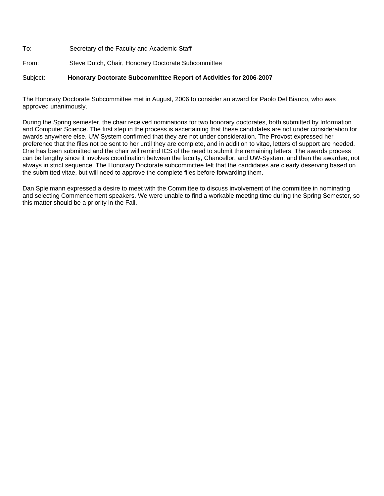To: Secretary of the Faculty and Academic Staff From: Steve Dutch, Chair, Honorary Doctorate Subcommittee

#### Subject: **Honorary Doctorate Subcommittee Report of Activities for 2006-2007**

The Honorary Doctorate Subcommittee met in August, 2006 to consider an award for Paolo Del Bianco, who was approved unanimously.

During the Spring semester, the chair received nominations for two honorary doctorates, both submitted by Information and Computer Science. The first step in the process is ascertaining that these candidates are not under consideration for awards anywhere else. UW System confirmed that they are not under consideration. The Provost expressed her preference that the files not be sent to her until they are complete, and in addition to vitae, letters of support are needed. One has been submitted and the chair will remind ICS of the need to submit the remaining letters. The awards process can be lengthy since it involves coordination between the faculty, Chancellor, and UW-System, and then the awardee, not always in strict sequence. The Honorary Doctorate subcommittee felt that the candidates are clearly deserving based on the submitted vitae, but will need to approve the complete files before forwarding them.

Dan Spielmann expressed a desire to meet with the Committee to discuss involvement of the committee in nominating and selecting Commencement speakers. We were unable to find a workable meeting time during the Spring Semester, so this matter should be a priority in the Fall.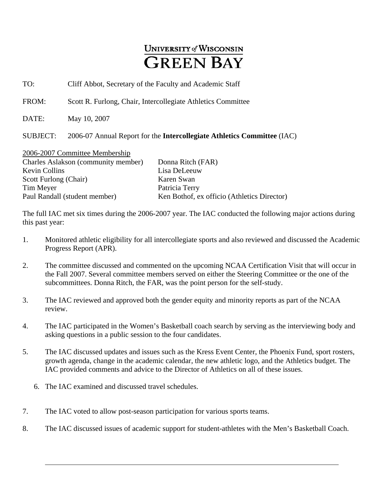# **UNIVERSITY of WISCONSIN GREEN BAY**

TO: Cliff Abbot, Secretary of the Faculty and Academic Staff

FROM: Scott R. Furlong, Chair, Intercollegiate Athletics Committee

DATE: May 10, 2007

SUBJECT: 2006-07 Annual Report for the **Intercollegiate Athletics Committee** (IAC)

| 2006-2007 Committee Membership      |                                             |
|-------------------------------------|---------------------------------------------|
| Charles Aslakson (community member) | Donna Ritch (FAR)                           |
| <b>Kevin Collins</b>                | Lisa DeLeeuw                                |
| Scott Furlong (Chair)               | Karen Swan                                  |
| Tim Meyer                           | Patricia Terry                              |
| Paul Randall (student member)       | Ken Bothof, ex officio (Athletics Director) |

The full IAC met six times during the 2006-2007 year. The IAC conducted the following major actions during this past year:

- 1. Monitored athletic eligibility for all intercollegiate sports and also reviewed and discussed the Academic Progress Report (APR).
- 2. The committee discussed and commented on the upcoming NCAA Certification Visit that will occur in the Fall 2007. Several committee members served on either the Steering Committee or the one of the subcommittees. Donna Ritch, the FAR, was the point person for the self-study.
- 3. The IAC reviewed and approved both the gender equity and minority reports as part of the NCAA review.
- 4. The IAC participated in the Women's Basketball coach search by serving as the interviewing body and asking questions in a public session to the four candidates.
- 5. The IAC discussed updates and issues such as the Kress Event Center, the Phoenix Fund, sport rosters, growth agenda, change in the academic calendar, the new athletic logo, and the Athletics budget. The IAC provided comments and advice to the Director of Athletics on all of these issues.
	- 6. The IAC examined and discussed travel schedules.
- 7. The IAC voted to allow post-season participation for various sports teams.
- 8. The IAC discussed issues of academic support for student-athletes with the Men's Basketball Coach.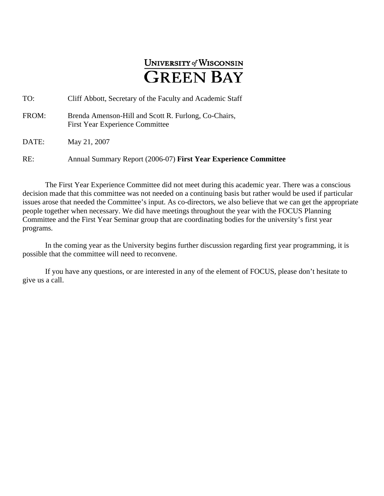# **UNIVERSITY of WISCONSIN GREEN BAY**

| TO:   | Cliff Abbott, Secretary of the Faculty and Academic Staff                                      |
|-------|------------------------------------------------------------------------------------------------|
| FROM: | Brenda Amenson-Hill and Scott R. Furlong, Co-Chairs,<br><b>First Year Experience Committee</b> |
| DATE: | May 21, 2007                                                                                   |

RE: Annual Summary Report (2006-07) **First Year Experience Committee** 

The First Year Experience Committee did not meet during this academic year. There was a conscious decision made that this committee was not needed on a continuing basis but rather would be used if particular issues arose that needed the Committee's input. As co-directors, we also believe that we can get the appropriate people together when necessary. We did have meetings throughout the year with the FOCUS Planning Committee and the First Year Seminar group that are coordinating bodies for the university's first year programs.

In the coming year as the University begins further discussion regarding first year programming, it is possible that the committee will need to reconvene.

If you have any questions, or are interested in any of the element of FOCUS, please don't hesitate to give us a call.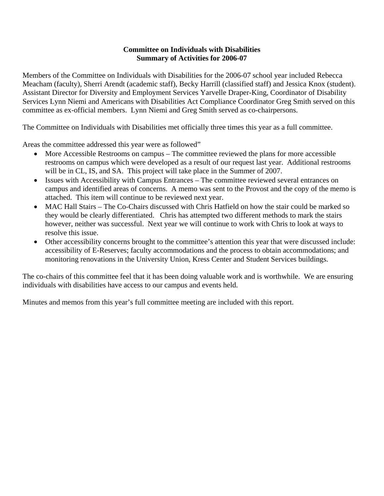## **Committee on Individuals with Disabilities Summary of Activities for 2006-07**

Members of the Committee on Individuals with Disabilities for the 2006-07 school year included Rebecca Meacham (faculty), Sherri Arendt (academic staff), Becky Harrill (classified staff) and Jessica Knox (student). Assistant Director for Diversity and Employment Services Yarvelle Draper-King, Coordinator of Disability Services Lynn Niemi and Americans with Disabilities Act Compliance Coordinator Greg Smith served on this committee as ex-official members. Lynn Niemi and Greg Smith served as co-chairpersons.

The Committee on Individuals with Disabilities met officially three times this year as a full committee.

Areas the committee addressed this year were as followed"

- More Accessible Restrooms on campus The committee reviewed the plans for more accessible restrooms on campus which were developed as a result of our request last year. Additional restrooms will be in CL, IS, and SA. This project will take place in the Summer of 2007.
- Issues with Accessibility with Campus Entrances The committee reviewed several entrances on campus and identified areas of concerns. A memo was sent to the Provost and the copy of the memo is attached. This item will continue to be reviewed next year.
- MAC Hall Stairs The Co-Chairs discussed with Chris Hatfield on how the stair could be marked so they would be clearly differentiated. Chris has attempted two different methods to mark the stairs however, neither was successful. Next year we will continue to work with Chris to look at ways to resolve this issue.
- Other accessibility concerns brought to the committee's attention this year that were discussed include: accessibility of E-Reserves; faculty accommodations and the process to obtain accommodations; and monitoring renovations in the University Union, Kress Center and Student Services buildings.

The co-chairs of this committee feel that it has been doing valuable work and is worthwhile. We are ensuring individuals with disabilities have access to our campus and events held.

Minutes and memos from this year's full committee meeting are included with this report.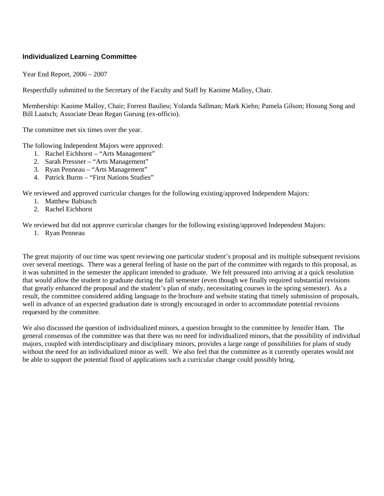## **Individualized Learning Committee**

Year End Report, 2006 – 2007

Respectfully submitted to the Secretary of the Faculty and Staff by Kaoime Malloy, Chair.

Membership: Kaoime Malloy, Chair; Forrest Baulieu; Yolanda Sallman; Mark Kiehn; Pamela Gilson; Hosung Song and Bill Laatsch; Associate Dean Regan Gurung (ex-officio).

The committee met six times over the year.

The following Independent Majors were approved:

- 1. Rachel Eichhorst "Arts Management"
- 2. Sarah Pressner "Arts Management"
- 3. Ryan Penneau "Arts Management"
- 4. Patrick Burns "First Nations Studies"

We reviewed and approved curricular changes for the following existing/approved Independent Majors:

- 1. Matthew Babiasch
- 2. Rachel Eichhorst

We reviewed but did not approve curricular changes for the following existing/approved Independent Majors:

1. Ryan Penneau

The great majority of our time was spent reviewing one particular student's proposal and its multiple subsequent revisions over several meetings. There was a general feeling of haste on the part of the committee with regards to this proposal, as it was submitted in the semester the applicant intended to graduate. We felt pressured into arriving at a quick resolution that would allow the student to graduate during the fall semester (even though we finally required substantial revisions that greatly enhanced the proposal and the student's plan of study, necessitating courses in the spring semester). As a result, the committee considered adding language to the brochure and website stating that timely submission of proposals, well in advance of an expected graduation date is strongly encouraged in order to accommodate potential revisions requested by the committee.

We also discussed the question of individualized minors, a question brought to the committee by Jennifer Ham. The general consensus of the committee was that there was no need for individualized minors, that the possibility of individual majors, coupled with interdisciplinary and disciplinary minors, provides a large range of possibilities for plans of study without the need for an individualized minor as well. We also feel that the committee as it currently operates would not be able to support the potential flood of applications such a curricular change could possibly bring.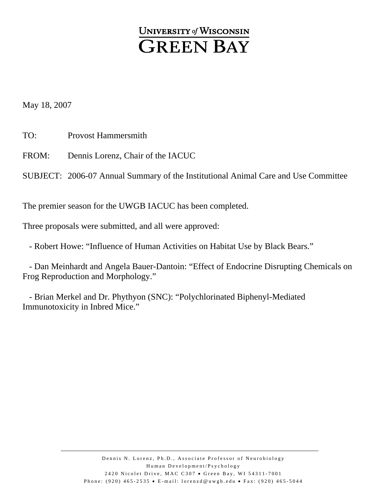# **UNIVERSITY of WISCONSIN GREEN BAY**

May 18, 2007

TO: Provost Hammersmith

FROM: Dennis Lorenz, Chair of the IACUC

SUBJECT: 2006-07 Annual Summary of the Institutional Animal Care and Use Committee

The premier season for the UWGB IACUC has been completed.

Three proposals were submitted, and all were approved:

- Robert Howe: "Influence of Human Activities on Habitat Use by Black Bears."

 - Dan Meinhardt and Angela Bauer-Dantoin: "Effect of Endocrine Disrupting Chemicals on Frog Reproduction and Morphology."

 - Brian Merkel and Dr. Phythyon (SNC): "Polychlorinated Biphenyl-Mediated Immunotoxicity in Inbred Mice."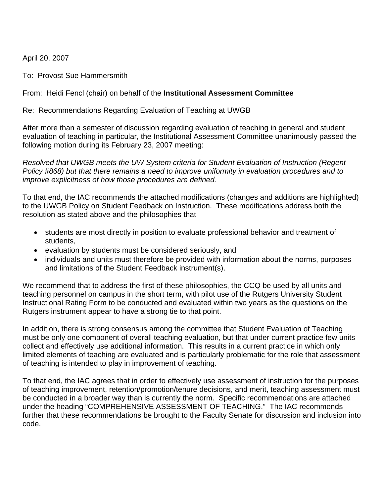April 20, 2007

To: Provost Sue Hammersmith

From: Heidi Fencl (chair) on behalf of the **Institutional Assessment Committee** 

Re: Recommendations Regarding Evaluation of Teaching at UWGB

After more than a semester of discussion regarding evaluation of teaching in general and student evaluation of teaching in particular, the Institutional Assessment Committee unanimously passed the following motion during its February 23, 2007 meeting:

*Resolved that UWGB meets the UW System criteria for Student Evaluation of Instruction (Regent Policy #868) but that there remains a need to improve uniformity in evaluation procedures and to improve explicitness of how those procedures are defined.* 

To that end, the IAC recommends the attached modifications (changes and additions are highlighted) to the UWGB Policy on Student Feedback on Instruction. These modifications address both the resolution as stated above and the philosophies that

- students are most directly in position to evaluate professional behavior and treatment of students,
- evaluation by students must be considered seriously, and
- individuals and units must therefore be provided with information about the norms, purposes and limitations of the Student Feedback instrument(s).

We recommend that to address the first of these philosophies, the CCQ be used by all units and teaching personnel on campus in the short term, with pilot use of the Rutgers University Student Instructional Rating Form to be conducted and evaluated within two years as the questions on the Rutgers instrument appear to have a strong tie to that point.

In addition, there is strong consensus among the committee that Student Evaluation of Teaching must be only one component of overall teaching evaluation, but that under current practice few units collect and effectively use additional information. This results in a current practice in which only limited elements of teaching are evaluated and is particularly problematic for the role that assessment of teaching is intended to play in improvement of teaching.

To that end, the IAC agrees that in order to effectively use assessment of instruction for the purposes of teaching improvement, retention/promotion/tenure decisions, and merit, teaching assessment must be conducted in a broader way than is currently the norm. Specific recommendations are attached under the heading "COMPREHENSIVE ASSESSMENT OF TEACHING." The IAC recommends further that these recommendations be brought to the Faculty Senate for discussion and inclusion into code.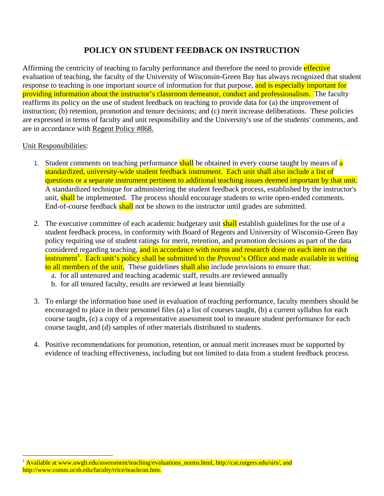# **POLICY ON STUDENT FEEDBACK ON INSTRUCTION**

Affirming the centricity of teaching to faculty performance and therefore the need to provide effective evaluation of teaching, the faculty of the University of Wisconsin-Green Bay has always recognized that student response to teaching is one important source of information for that purpose, and is especially important for providing information about the instructor's classroom demeanor, conduct and professionalism. The faculty reaffirms its policy on the use of student feedback on teaching to provide data for (a) the improvement of instruction; (b) retention, promotion and tenure decisions; and (c) merit increase deliberations. These policies are expressed in terms of faculty and unit responsibility and the University's use of the students' comments, and are in accordance with Regent Policy #868.

# Unit Responsibilities:

 $\overline{a}$ 

- 1. Student comments on teaching performance shall be obtained in every course taught by means of a standardized, university-wide student feedback instrument. Each unit shall also include a list of questions or a separate instrument pertinent to additional teaching issues deemed important by that unit. A standardized technique for administering the student feedback process, established by the instructor's unit, shall be implemented. The process should encourage students to write open-ended comments. End-of-course feedback shall not be shown to the instructor until grades are submitted.
- 2. The executive committee of each academic budgetary unit shall establish guidelines for the use of a student feedback process, in conformity with Board of Regents and University of Wisconsin-Green Bay policy requiring use of student ratings for merit, retention, and promotion decisions as part of the data considered regarding teaching, and in accordance with norms and research done on each item on the instrument<sup>1</sup>. Each unit's policy shall be submitted to the Provost's Office and made available in writing to all members of the unit. These guidelines shall also include provisions to ensure that:
	- a. for all untenured and teaching academic staff, results are reviewed annually
	- b. for all tenured faculty, results are reviewed at least biennially
- 3. To enlarge the information base used in evaluation of teaching performance, faculty members should be encouraged to place in their personnel files (a) a list of courses taught, (b) a current syllabus for each course taught, (c) a copy of a representative assessment tool to measure student performance for each course taught, and (d) samples of other materials distributed to students.
- 4. Positive recommendations for promotion, retention, or annual merit increases must be supported by evidence of teaching effectiveness, including but not limited to data from a student feedback process.

<span id="page-29-0"></span><sup>&</sup>lt;sup>1</sup> Available at [www.uwgb.edu/assessment/teaching/evaluations\\_norms.html](http://www.uwgb.edu/assessment/teaching/evaluations_norms.html),<http://cat.rutgers.edu/sirs/>, and [http://www.comm.ucsb.edu/faculty/rrice/teachcon.htm.](http://www.comm.ucsb.edu/faculty/rrice/teachcon.htm)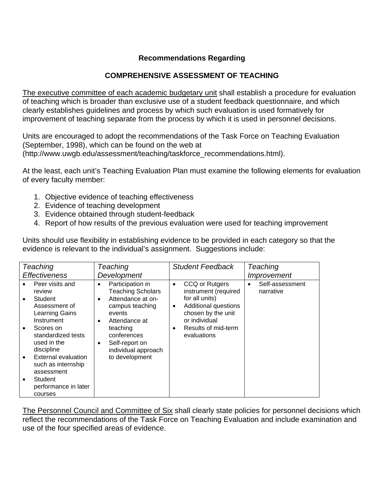# **Recommendations Regarding**

# **COMPREHENSIVE ASSESSMENT OF TEACHING**

The executive committee of each academic budgetary unit shall establish a procedure for evaluation of teaching which is broader than exclusive use of a student feedback questionnaire, and which clearly establishes guidelines and process by which such evaluation is used formatively for improvement of teaching separate from the process by which it is used in personnel decisions.

Units are encouraged to adopt the recommendations of the Task Force on Teaching Evaluation (September, 1998), which can be found on the web at ([http://www.uwgb.edu/assessment/teaching/taskforce\\_recommendations.html](http://www.uwgb.edu/assessment/teaching/taskforce_recommendations.html)).

At the least, each unit's Teaching Evaluation Plan must examine the following elements for evaluation of every faculty member:

- 1. Objective evidence of teaching effectiveness
- 2. Evidence of teaching development
- 3. Evidence obtained through student-feedback
- 4. Report of how results of the previous evaluation were used for teaching improvement

Units should use flexibility in establishing evidence to be provided in each category so that the evidence is relevant to the individual's assignment. Suggestions include:

| Teaching                                                                                                                                                                                                                                               | Teaching                                                                                                                                                                                                                                          | <b>Student Feedback</b>                                                                                                                                                                              | Teaching                                  |
|--------------------------------------------------------------------------------------------------------------------------------------------------------------------------------------------------------------------------------------------------------|---------------------------------------------------------------------------------------------------------------------------------------------------------------------------------------------------------------------------------------------------|------------------------------------------------------------------------------------------------------------------------------------------------------------------------------------------------------|-------------------------------------------|
| <i><b>Effectiveness</b></i>                                                                                                                                                                                                                            | Development                                                                                                                                                                                                                                       |                                                                                                                                                                                                      | Improvement                               |
| Peer visits and<br>review<br>Student<br>$\bullet$<br>Assessment of<br>Learning Gains<br>Instrument<br>Scores on<br>٠<br>standardized tests<br>used in the<br>discipline<br><b>External evaluation</b><br>$\bullet$<br>such as internship<br>assessment | Participation in<br>٠<br><b>Teaching Scholars</b><br>Attendance at on-<br>$\bullet$<br>campus teaching<br>events<br>Attendance at<br>$\bullet$<br>teaching<br>conferences<br>Self-report on<br>$\bullet$<br>individual approach<br>to development | CCQ or Rutgers<br>$\bullet$<br>instrument (required<br>for all units)<br>Additional questions<br>$\bullet$<br>chosen by the unit<br>or individual<br>Results of mid-term<br>$\bullet$<br>evaluations | Self-assessment<br>$\bullet$<br>narrative |
| Student<br>performance in later<br>courses                                                                                                                                                                                                             |                                                                                                                                                                                                                                                   |                                                                                                                                                                                                      |                                           |

The Personnel Council and Committee of Six shall clearly state policies for personnel decisions which reflect the recommendations of the Task Force on Teaching Evaluation and include examination and use of the four specified areas of evidence.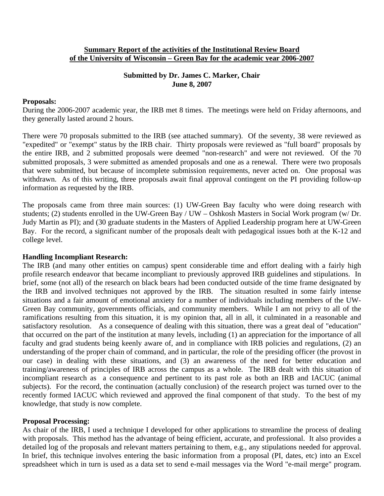## **Summary Report of the activities of the Institutional Review Board of the University of Wisconsin – Green Bay for the academic year 2006-2007**

## **Submitted by Dr. James C. Marker, Chair June 8, 2007**

#### **Proposals:**

During the 2006-2007 academic year, the IRB met 8 times. The meetings were held on Friday afternoons, and they generally lasted around 2 hours.

There were 70 proposals submitted to the IRB (see attached summary). Of the seventy, 38 were reviewed as "expedited" or "exempt" status by the IRB chair. Thirty proposals were reviewed as "full board" proposals by the entire IRB, and 2 submitted proposals were deemed "non-research" and were not reviewed. Of the 70 submitted proposals, 3 were submitted as amended proposals and one as a renewal. There were two proposals that were submitted, but because of incomplete submission requirements, never acted on. One proposal was withdrawn. As of this writing, three proposals await final approval contingent on the PI providing follow-up information as requested by the IRB.

The proposals came from three main sources: (1) UW-Green Bay faculty who were doing research with students; (2) students enrolled in the UW-Green Bay / UW – Oshkosh Masters in Social Work program (w/ Dr. Judy Martin as PI); and (30 graduate students in the Masters of Applied Leadership program here at UW-Green Bay. For the record, a significant number of the proposals dealt with pedagogical issues both at the K-12 and college level.

## **Handling Incompliant Research:**

The IRB (and many other entities on campus) spent considerable time and effort dealing with a fairly high profile research endeavor that became incompliant to previously approved IRB guidelines and stipulations. In brief, some (not all) of the research on black bears had been conducted outside of the time frame designated by the IRB and involved techniques not approved by the IRB. The situation resulted in some fairly intense situations and a fair amount of emotional anxiety for a number of individuals including members of the UW-Green Bay community, governments officials, and community members. While I am not privy to all of the ramifications resulting from this situation, it is my opinion that, all in all, it culminated in a reasonable and satisfactory resolution. As a consequence of dealing with this situation, there was a great deal of "education" that occurred on the part of the institution at many levels, including (1) an appreciation for the importance of all faculty and grad students being keenly aware of, and in compliance with IRB policies and regulations, (2) an understanding of the proper chain of command, and in particular, the role of the presiding officer (the provost in our case) in dealing with these situations, and (3) an awareness of the need for better education and training/awareness of principles of IRB across the campus as a whole. The IRB dealt with this situation of incompliant research as a consequence and pertinent to its past role as both an IRB and IACUC (animal subjects). For the record, the continuation (actually conclusion) of the research project was turned over to the recently formed IACUC which reviewed and approved the final component of that study. To the best of my knowledge, that study is now complete.

## **Proposal Processing:**

As chair of the IRB, I used a technique I developed for other applications to streamline the process of dealing with proposals. This method has the advantage of being efficient, accurate, and professional. It also provides a detailed log of the proposals and relevant matters pertaining to them, e.g., any stipulations needed for approval. In brief, this technique involves entering the basic information from a proposal (PI, dates, etc) into an Excel spreadsheet which in turn is used as a data set to send e-mail messages via the Word "e-mail merge" program.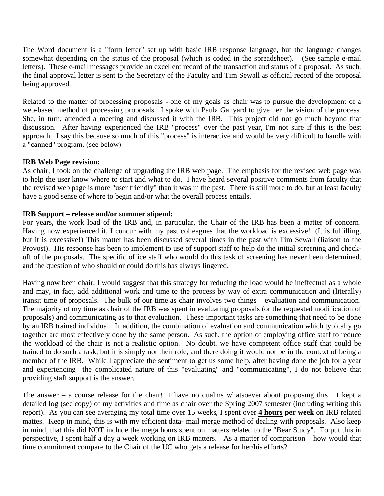The Word document is a "form letter" set up with basic IRB response language, but the language changes somewhat depending on the status of the proposal (which is coded in the spreadsheet). (See sample e-mail letters). These e-mail messages provide an excellent record of the transaction and status of a proposal. As such, the final approval letter is sent to the Secretary of the Faculty and Tim Sewall as official record of the proposal being approved.

Related to the matter of processing proposals - one of my goals as chair was to pursue the development of a web-based method of processing proposals. I spoke with Paula Ganyard to give her the vision of the process. She, in turn, attended a meeting and discussed it with the IRB. This project did not go much beyond that discussion. After having experienced the IRB "process" over the past year, I'm not sure if this is the best approach. I say this because so much of this "process" is interactive and would be very difficult to handle with a "canned" program. (see below)

## **IRB Web Page revision:**

As chair, I took on the challenge of upgrading the IRB web page. The emphasis for the revised web page was to help the user know where to start and what to do. I have heard several positive comments from faculty that the revised web page is more "user friendly" than it was in the past. There is still more to do, but at least faculty have a good sense of where to begin and/or what the overall process entails.

## **IRB Support – release and/or summer stipend:**

For years, the work load of the IRB and, in particular, the Chair of the IRB has been a matter of concern! Having now experienced it, I concur with my past colleagues that the workload is excessive! (It is fulfilling, but it is excessive!) This matter has been discussed several times in the past with Tim Sewall (liaison to the Provost). His response has been to implement to use of support staff to help do the initial screening and checkoff of the proposals. The specific office staff who would do this task of screening has never been determined, and the question of who should or could do this has always lingered.

Having now been chair, I would suggest that this strategy for reducing the load would be ineffectual as a whole and may, in fact, add additional work and time to the process by way of extra communication and (literally) transit time of proposals. The bulk of our time as chair involves two things – evaluation and communication! The majority of my time as chair of the IRB was spent in evaluating proposals (or the requested modification of proposals) and communicating as to that evaluation. These important tasks are something that need to be done by an IRB trained individual. In addition, the combination of evaluation and communication which typically go together are most effectively done by the same person. As such, the option of employing office staff to reduce the workload of the chair is not a realistic option. No doubt, we have competent office staff that could be trained to do such a task, but it is simply not their role, and there doing it would not be in the context of being a member of the IRB. While I appreciate the sentiment to get us some help, after having done the job for a year and experiencing the complicated nature of this "evaluating" and "communicating", I do not believe that providing staff support is the answer.

The answer – a course release for the chair! I have no qualms whatsoever about proposing this! I kept a detailed log (see copy) of my activities and time as chair over the Spring 2007 semester (including writing this report). As you can see averaging my total time over 15 weeks, I spent over **4 hours per week** on IRB related mattes. Keep in mind, this is with my efficient data- mail merge method of dealing with proposals. Also keep in mind, that this did NOT include the mega hours spent on matters related to the "Bear Study". To put this in perspective, I spent half a day a week working on IRB matters. As a matter of comparison – how would that time commitment compare to the Chair of the UC who gets a release for her/his efforts?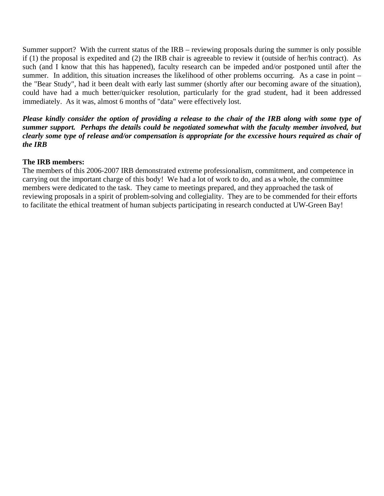Summer support? With the current status of the IRB – reviewing proposals during the summer is only possible if (1) the proposal is expedited and (2) the IRB chair is agreeable to review it (outside of her/his contract). As such (and I know that this has happened), faculty research can be impeded and/or postponed until after the summer. In addition, this situation increases the likelihood of other problems occurring. As a case in point – the "Bear Study", had it been dealt with early last summer (shortly after our becoming aware of the situation), could have had a much better/quicker resolution, particularly for the grad student, had it been addressed immediately. As it was, almost 6 months of "data" were effectively lost.

*Please kindly consider the option of providing a release to the chair of the IRB along with some type of summer support. Perhaps the details could be negotiated somewhat with the faculty member involved, but clearly some type of release and/or compensation is appropriate for the excessive hours required as chair of the IRB* 

## **The IRB members:**

The members of this 2006-2007 IRB demonstrated extreme professionalism, commitment, and competence in carrying out the important charge of this body! We had a lot of work to do, and as a whole, the committee members were dedicated to the task. They came to meetings prepared, and they approached the task of reviewing proposals in a spirit of problem-solving and collegiality. They are to be commended for their efforts to facilitate the ethical treatment of human subjects participating in research conducted at UW-Green Bay!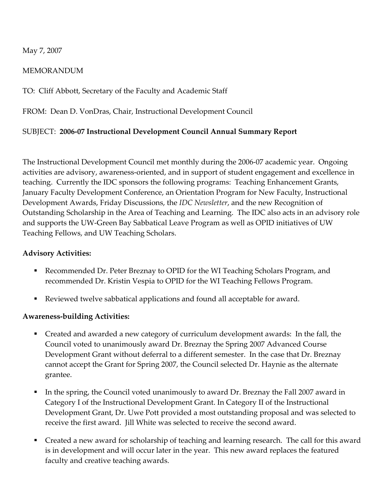# May 7, 2007

# MEMORANDUM

TO: Cliff Abbott, Secretary of the Faculty and Academic Staff

FROM: Dean D. VonDras, Chair, Instructional Development Council

# SUBJECT: **2006‐07 Instructional Development Council Annual Summary Report**

The Instructional Development Council met monthly during the 2006‐07 academic year. Ongoing activities are advisory, awareness‐oriented, and in support of student engagement and excellence in teaching. Currently the IDC sponsors the following programs: Teaching Enhancement Grants, January Faculty Development Conference, an Orientation Program for New Faculty, Instructional Development Awards, Friday Discussions, the *IDC Newsletter*, and the new Recognition of Outstanding Scholarship in the Area of Teaching and Learning. The IDC also acts in an advisory role and supports the UW‐Green Bay Sabbatical Leave Program as well as OPID initiatives of UW Teaching Fellows, and UW Teaching Scholars.

# **Advisory Activities:**

- Recommended Dr. Peter Breznay to OPID for the WI Teaching Scholars Program, and recommended Dr. Kristin Vespia to OPID for the WI Teaching Fellows Program.
- Reviewed twelve sabbatical applications and found all acceptable for award.

# **Awareness‐building Activities:**

- Created and awarded a new category of curriculum development awards: In the fall, the Council voted to unanimously award Dr. Breznay the Spring 2007 Advanced Course Development Grant without deferral to a different semester. In the case that Dr. Breznay cannot accept the Grant for Spring 2007, the Council selected Dr. Haynie as the alternate grantee.
- In the spring, the Council voted unanimously to award Dr. Breznay the Fall 2007 award in Category I of the Instructional Development Grant. In Category II of the Instructional Development Grant, Dr. Uwe Pott provided a most outstanding proposal and was selected to receive the first award. Jill White was selected to receive the second award.
- Created a new award for scholarship of teaching and learning research. The call for this award is in development and will occur later in the year. This new award replaces the featured faculty and creative teaching awards.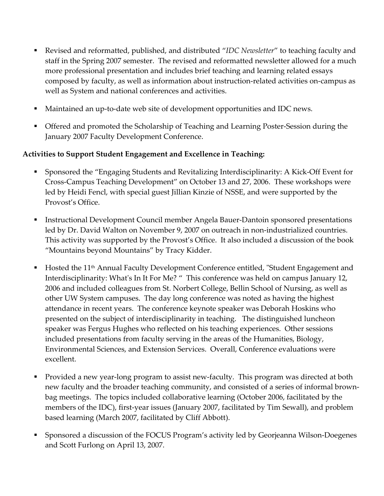- Revised and reformatted, published, and distributed "*IDC Newsletter*" to teaching faculty and staff in the Spring 2007 semester. The revised and reformatted newsletter allowed for a much more professional presentation and includes brief teaching and learning related essays composed by faculty, as well as information about instruction‐related activities on‐campus as well as System and national conferences and activities.
- Maintained an up-to-date web site of development opportunities and IDC news.
- Offered and promoted the Scholarship of Teaching and Learning Poster-Session during the January 2007 Faculty Development Conference.

# **Activities to Support Student Engagement and Excellence in Teaching:**

- Sponsored the "Engaging Students and Revitalizing Interdisciplinarity: A Kick-Off Event for Cross‐Campus Teaching Development" on October 13 and 27, 2006. These workshops were led by Heidi Fencl, with special guest Jillian Kinzie of NSSE, and were supported by the Provost's Office.
- Instructional Development Council member Angela Bauer‐Dantoin sponsored presentations led by Dr. David Walton on November 9, 2007 on outreach in non-industrialized countries. This activity was supported by the Provost's Office. It also included a discussion of the book "Mountains beyond Mountains" by Tracy Kidder.
- Hosted the 11<sup>th</sup> Annual Faculty Development Conference entitled, "Student Engagement and Interdisciplinarity: What's In It For Me? " This conference was held on campus January 12, 2006 and included colleagues from St. Norbert College, Bellin School of Nursing, as well as other UW System campuses. The day long conference was noted as having the highest attendance in recent years. The conference keynote speaker was Deborah Hoskins who presented on the subject of interdisciplinarity in teaching. The distinguished luncheon speaker was Fergus Hughes who reflected on his teaching experiences. Other sessions included presentations from faculty serving in the areas of the Humanities, Biology, Environmental Sciences, and Extension Services. Overall, Conference evaluations were excellent.
- Provided a new year‐long program to assist new‐faculty. This program was directed at both new faculty and the broader teaching community, and consisted of a series of informal brownbag meetings. The topics included collaborative learning (October 2006, facilitated by the members of the IDC), first-year issues (January 2007, facilitated by Tim Sewall), and problem based learning (March 2007, facilitated by Cliff Abbott).
- Sponsored a discussion of the FOCUS Program's activity led by Georjeanna Wilson‐Doegenes and Scott Furlong on April 13, 2007.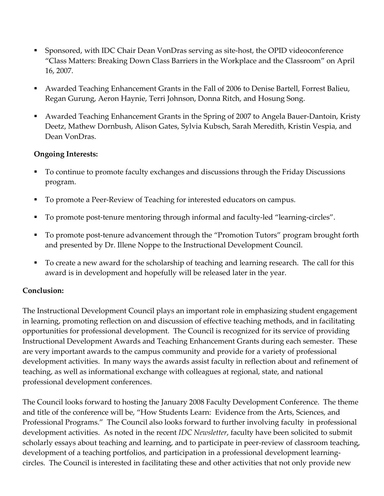- Sponsored, with IDC Chair Dean VonDras serving as site‐host, the OPID videoconference "Class Matters: Breaking Down Class Barriers in the Workplace and the Classroom" on April 16, 2007.
- Awarded Teaching Enhancement Grants in the Fall of 2006 to Denise Bartell, Forrest Balieu, Regan Gurung, Aeron Haynie, Terri Johnson, Donna Ritch, and Hosung Song.
- Awarded Teaching Enhancement Grants in the Spring of 2007 to Angela Bauer‐Dantoin, Kristy Deetz, Mathew Dornbush, Alison Gates, Sylvia Kubsch, Sarah Meredith, Kristin Vespia, and Dean VonDras.

# **Ongoing Interests:**

- To continue to promote faculty exchanges and discussions through the Friday Discussions program.
- To promote a Peer‐Review of Teaching for interested educators on campus.
- To promote post-tenure mentoring through informal and faculty-led "learning-circles".
- To promote post-tenure advancement through the "Promotion Tutors" program brought forth and presented by Dr. Illene Noppe to the Instructional Development Council.
- To create a new award for the scholarship of teaching and learning research. The call for this award is in development and hopefully will be released later in the year.

# **Conclusion:**

The Instructional Development Council plays an important role in emphasizing student engagement in learning, promoting reflection on and discussion of effective teaching methods, and in facilitating opportunities for professional development. The Council is recognized for its service of providing Instructional Development Awards and Teaching Enhancement Grants during each semester. These are very important awards to the campus community and provide for a variety of professional development activities. In many ways the awards assist faculty in reflection about and refinement of teaching, as well as informational exchange with colleagues at regional, state, and national professional development conferences.

The Council looks forward to hosting the January 2008 Faculty Development Conference. The theme and title of the conference will be, "How Students Learn: Evidence from the Arts, Sciences, and Professional Programs." The Council also looks forward to further involving faculty in professional development activities. As noted in the recent *IDC Newsletter*, faculty have been solicited to submit scholarly essays about teaching and learning, and to participate in peer-review of classroom teaching, development of a teaching portfolios, and participation in a professional development learningcircles. The Council is interested in facilitating these and other activities that not only provide new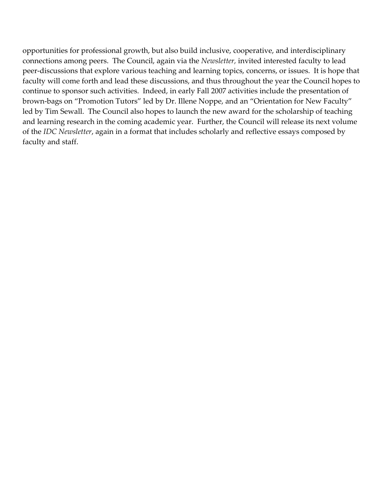opportunities for professional growth, but also build inclusive, cooperative, and interdisciplinary connections among peers. The Council, again via the *Newsletter,* invited interested faculty to lead peer-discussions that explore various teaching and learning topics, concerns, or issues. It is hope that faculty will come forth and lead these discussions, and thus throughout the year the Council hopes to continue to sponsor such activities. Indeed, in early Fall 2007 activities include the presentation of brown‐bags on "Promotion Tutors" led by Dr. Illene Noppe, and an "Orientation for New Faculty" led by Tim Sewall. The Council also hopes to launch the new award for the scholarship of teaching and learning research in the coming academic year. Further, the Council will release its next volume of the *IDC Newsletter*, again in a format that includes scholarly and reflective essays composed by faculty and staff.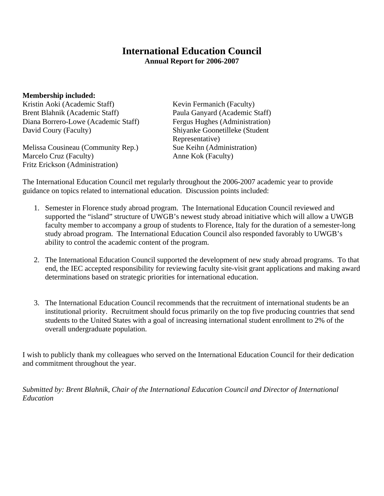# **International Education Council Annual Report for 2006-2007**

**Membership included:** 

Kristin Aoki (Academic Staff) Kevin Fermanich (Faculty) Brent Blahnik (Academic Staff) Paula Ganyard (Academic Staff) Diana Borrero-Lowe (Academic Staff) Fergus Hughes (Administration) David Coury (Faculty) Shiyanke Goonetilleke (Student

Melissa Cousineau (Community Rep.) Sue Keihn (Administration) Marcelo Cruz (Faculty) Anne Kok (Faculty) Fritz Erickson (Administration)

Representative)

The International Education Council met regularly throughout the 2006-2007 academic year to provide guidance on topics related to international education. Discussion points included:

- 1. Semester in Florence study abroad program. The International Education Council reviewed and supported the "island" structure of UWGB's newest study abroad initiative which will allow a UWGB faculty member to accompany a group of students to Florence, Italy for the duration of a semester-long study abroad program. The International Education Council also responded favorably to UWGB's ability to control the academic content of the program.
- 2. The International Education Council supported the development of new study abroad programs. To that end, the IEC accepted responsibility for reviewing faculty site-visit grant applications and making award determinations based on strategic priorities for international education.
- 3. The International Education Council recommends that the recruitment of international students be an institutional priority. Recruitment should focus primarily on the top five producing countries that send students to the United States with a goal of increasing international student enrollment to 2% of the overall undergraduate population.

I wish to publicly thank my colleagues who served on the International Education Council for their dedication and commitment throughout the year.

*Submitted by: Brent Blahnik, Chair of the International Education Council and Director of International Education*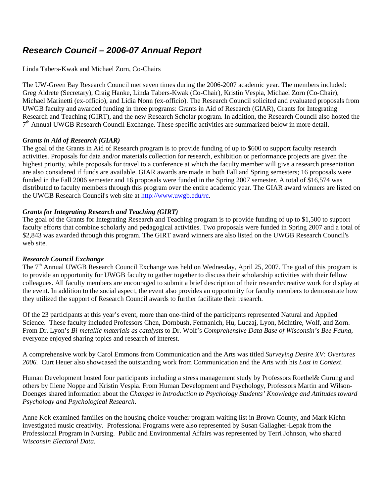# *Research Council – 2006-07 Annual Report*

#### Linda Tabers-Kwak and Michael Zorn, Co-Chairs

The UW-Green Bay Research Council met seven times during the 2006-2007 academic year. The members included: Greg Aldrete (Secretary), Craig Hanke, Linda Tabers-Kwak (Co-Chair), Kristin Vespia, Michael Zorn (Co-Chair), Michael Marinetti (ex-officio), and Lidia Nonn (ex-officio). The Research Council solicited and evaluated proposals from UWGB faculty and awarded funding in three programs: Grants in Aid of Research (GIAR), Grants for Integrating Research and Teaching (GIRT), and the new Research Scholar program. In addition, the Research Council also hosted the  $7<sup>th</sup>$  Annual UWGB Research Council Exchange. These specific activities are summarized below in more detail.

#### *Grants in Aid of Research (GIAR)*

The goal of the Grants in Aid of Research program is to provide funding of up to \$600 to support faculty research activities. Proposals for data and/or materials collection for research, exhibition or performance projects are given the highest priority, while proposals for travel to a conference at which the faculty member will give a research presentation are also considered if funds are available. GIAR awards are made in both Fall and Spring semesters; 16 proposals were funded in the Fall 2006 semester and 16 proposals were funded in the Spring 2007 semester. A total of \$16,574 was distributed to faculty members through this program over the entire academic year. The GIAR award winners are listed on the UWGB Research Council's web site at [http://www.uwgb.edu/rc.](http://www.uwgb.edu/rc)

## *Grants for Integrating Research and Teaching (GIRT)*

The goal of the Grants for Integrating Research and Teaching program is to provide funding of up to \$1,500 to support faculty efforts that combine scholarly and pedagogical activities. Two proposals were funded in Spring 2007 and a total of \$2,843 was awarded through this program. The GIRT award winners are also listed on the UWGB Research Council's web site.

#### *Research Council Exchange*

The 7<sup>th</sup> Annual UWGB Research Council Exchange was held on Wednesday, April 25, 2007. The goal of this program is to provide an opportunity for UWGB faculty to gather together to discuss their scholarship activities with their fellow colleagues. All faculty members are encouraged to submit a brief description of their research/creative work for display at the event. In addition to the social aspect, the event also provides an opportunity for faculty members to demonstrate how they utilized the support of Research Council awards to further facilitate their research.

Of the 23 participants at this year's event, more than one-third of the participants represented Natural and Applied Science. These faculty included Professors Chen, Dornbush, Fermanich, Hu, Luczaj, Lyon, McIntire, Wolf, and Zorn. From Dr. Lyon's *Bi-metallic materials as catalysts* to Dr. Wolf's *Comprehensive Data Base of Wisconsin's Bee Fauna*, everyone enjoyed sharing topics and research of interest.

A comprehensive work by Carol Emmons from Communication and the Arts was titled *Surveying Desire XV: Overtures 2006.* Curt Heuer also showcased the outstanding work from Communication and the Arts with his *Lost in Context*.

Human Development hosted four participants including a stress management study by Professors Roethel& Gurung and others by Illene Noppe and Kristin Vespia. From Human Development and Psychology, Professors Martin and Wilson-Doenges shared information about the *Changes in Introduction to Psychology Students' Knowledge and Attitudes toward Psychology and Psychological Research*.

Anne Kok examined families on the housing choice voucher program waiting list in Brown County, and Mark Kiehn investigated music creativity. Professional Programs were also represented by Susan Gallagher-Lepak from the Professional Program in Nursing. Public and Environmental Affairs was represented by Terri Johnson, who shared *Wisconsin Electoral Data.*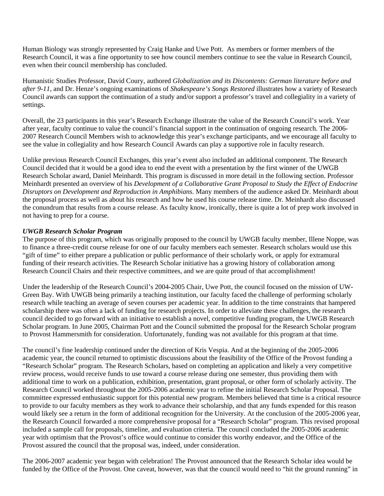Human Biology was strongly represented by Craig Hanke and Uwe Pott. As members or former members of the Research Council, it was a fine opportunity to see how council members continue to see the value in Research Council, even when their council membership has concluded.

Humanistic Studies Professor, David Coury, authored *Globalization and its Discontents: German literature before and after 9-11*, and Dr. Henze's ongoing examinations of *Shakespeare's Songs Restored* illustrates how a variety of Research Council awards can support the continuation of a study and/or support a professor's travel and collegiality in a variety of settings.

Overall, the 23 participants in this year's Research Exchange illustrate the value of the Research Council's work. Year after year, faculty continue to value the council's financial support in the continuation of ongoing research. The 2006- 2007 Research Council Members wish to acknowledge this year's exchange participants, and we encourage all faculty to see the value in collegiality and how Research Council Awards can play a supportive role in faculty research.

Unlike previous Research Council Exchanges, this year's event also included an additional component. The Research Council decided that it would be a good idea to end the event with a presentation by the first winner of the UWGB Research Scholar award, Daniel Meinhardt. This program is discussed in more detail in the following section. Professor Meinhardt presented an overview of his *Development of a Collaborative Grant Proposal to Study the Effect of Endocrine Disruptors on Development and Reproduction in Amphibians.* Many members of the audience asked Dr. Meinhardt about the proposal process as well as about his research and how he used his course release time. Dr. Meinhardt also discussed the conundrum that results from a course release. As faculty know, ironically, there is quite a lot of prep work involved in not having to prep for a course.

#### *UWGB Research Scholar Program*

The purpose of this program, which was originally proposed to the council by UWGB faculty member, Illene Noppe, was to finance a three-credit course release for one of our faculty members each semester. Research scholars would use this "gift of time" to either prepare a publication or public performance of their scholarly work, or apply for extramural funding of their research activities. The Research Scholar initiative has a growing history of collaboration among Research Council Chairs and their respective committees, and we are quite proud of that accomplishment!

Under the leadership of the Research Council's 2004-2005 Chair, Uwe Pott, the council focused on the mission of UW-Green Bay. With UWGB being primarily a teaching institution, our faculty faced the challenge of performing scholarly research while teaching an average of seven courses per academic year. In addition to the time constraints that hampered scholarship there was often a lack of funding for research projects. In order to alleviate these challenges, the research council decided to go forward with an initiative to establish a novel, competitive funding program, the UWGB Research Scholar program. In June 2005, Chairman Pott and the Council submitted the proposal for the Research Scholar program to Provost Hammersmith for consideration. Unfortunately, funding was not available for this program at that time.

The council's fine leadership continued under the direction of Kris Vespia. And at the beginning of the 2005-2006 academic year, the council returned to optimistic discussions about the feasibility of the Office of the Provost funding a "Research Scholar" program. The Research Scholars, based on completing an application and likely a very competitive review process, would receive funds to use toward a course release during one semester, thus providing them with additional time to work on a publication, exhibition, presentation, grant proposal, or other form of scholarly activity. The Research Council worked throughout the 2005-2006 academic year to refine the initial Research Scholar Proposal. The committee expressed enthusiastic support for this potential new program. Members believed that time is a critical resource to provide to our faculty members as they work to advance their scholarship, and that any funds expended for this reason would likely see a return in the form of additional recognition for the University. At the conclusion of the 2005-2006 year, the Research Council forwarded a more comprehensive proposal for a "Research Scholar" program. This revised proposal included a sample call for proposals, timeline, and evaluation criteria. The council concluded the 2005-2006 academic year with optimism that the Provost's office would continue to consider this worthy endeavor, and the Office of the Provost assured the council that the proposal was, indeed, under consideration.

The 2006-2007 academic year began with celebration! The Provost announced that the Research Scholar idea would be funded by the Office of the Provost. One caveat, however, was that the council would need to "hit the ground running" in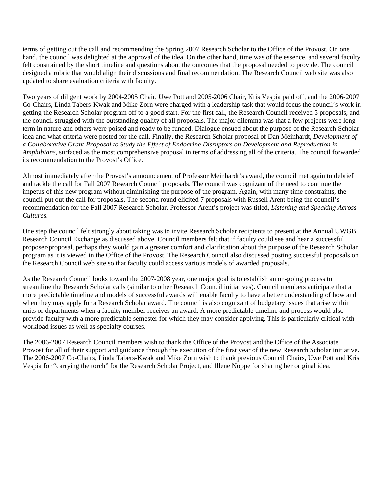terms of getting out the call and recommending the Spring 2007 Research Scholar to the Office of the Provost. On one hand, the council was delighted at the approval of the idea. On the other hand, time was of the essence, and several faculty felt constrained by the short timeline and questions about the outcomes that the proposal needed to provide. The council designed a rubric that would align their discussions and final recommendation. The Research Council web site was also updated to share evaluation criteria with faculty.

Two years of diligent work by 2004-2005 Chair, Uwe Pott and 2005-2006 Chair, Kris Vespia paid off, and the 2006-2007 Co-Chairs, Linda Tabers-Kwak and Mike Zorn were charged with a leadership task that would focus the council's work in getting the Research Scholar program off to a good start. For the first call, the Research Council received 5 proposals, and the council struggled with the outstanding quality of all proposals. The major dilemma was that a few projects were longterm in nature and others were poised and ready to be funded. Dialogue ensued about the purpose of the Research Scholar idea and what criteria were posted for the call. Finally, the Research Scholar proposal of Dan Meinhardt, *Development of a Collaborative Grant Proposal to Study the Effect of Endocrine Disruptors on Development and Reproduction in Amphibians*, surfaced as the most comprehensive proposal in terms of addressing all of the criteria. The council forwarded its recommendation to the Provost's Office.

Almost immediately after the Provost's announcement of Professor Meinhardt's award, the council met again to debrief and tackle the call for Fall 2007 Research Council proposals. The council was cognizant of the need to continue the impetus of this new program without diminishing the purpose of the program. Again, with many time constraints, the council put out the call for proposals. The second round elicited 7 proposals with Russell Arent being the council's recommendation for the Fall 2007 Research Scholar. Professor Arent's project was titled, *Listening and Speaking Across Cultures.* 

One step the council felt strongly about taking was to invite Research Scholar recipients to present at the Annual UWGB Research Council Exchange as discussed above. Council members felt that if faculty could see and hear a successful proposer/proposal, perhaps they would gain a greater comfort and clarification about the purpose of the Research Scholar program as it is viewed in the Office of the Provost. The Research Council also discussed posting successful proposals on the Research Council web site so that faculty could access various models of awarded proposals.

As the Research Council looks toward the 2007-2008 year, one major goal is to establish an on-going process to streamline the Research Scholar calls (similar to other Research Council initiatives). Council members anticipate that a more predictable timeline and models of successful awards will enable faculty to have a better understanding of how and when they may apply for a Research Scholar award. The council is also cognizant of budgetary issues that arise within units or departments when a faculty member receives an award. A more predictable timeline and process would also provide faculty with a more predictable semester for which they may consider applying. This is particularly critical with workload issues as well as specialty courses.

The 2006-2007 Research Council members wish to thank the Office of the Provost and the Office of the Associate Provost for all of their support and guidance through the execution of the first year of the new Research Scholar initiative. The 2006-2007 Co-Chairs, Linda Tabers-Kwak and Mike Zorn wish to thank previous Council Chairs, Uwe Pott and Kris Vespia for "carrying the torch" for the Research Scholar Project, and Illene Noppe for sharing her original idea.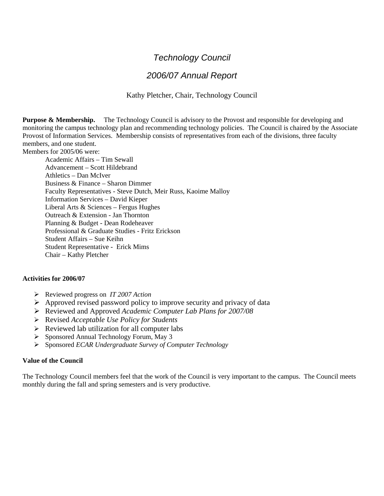# *Technology Council*

# *2006/07 Annual Report*

Kathy Pletcher, Chair, Technology Council

**Purpose & Membership.** The Technology Council is advisory to the Provost and responsible for developing and monitoring the campus technology plan and recommending technology policies. The Council is chaired by the Associate Provost of Information Services. Membership consists of representatives from each of the divisions, three faculty members, and one student.

Members for 2005/06 were:

Academic Affairs – Tim Sewall Advancement – Scott Hildebrand Athletics – Dan McIver Business & Finance – Sharon Dimmer Faculty Representatives - Steve Dutch, Meir Russ, Kaoime Malloy Information Services – David Kieper Liberal Arts & Sciences – Fergus Hughes Outreach & Extension - Jan Thornton Planning & Budget - Dean Rodeheaver Professional & Graduate Studies - Fritz Erickson Student Affairs – Sue Keihn Student Representative - Erick Mims Chair – Kathy Pletcher

#### **Activities for 2006/07**

- ¾ Reviewed progress on *IT 2007 Action*
- $\triangleright$  Approved revised password policy to improve security and privacy of data
- ¾ Reviewed and Approved *Academic Computer Lab Plans for 2007/08*
- ¾ Revised *Acceptable Use Policy for Students*
- $\triangleright$  Reviewed lab utilization for all computer labs
- ¾ Sponsored Annual Technology Forum, May 3
- ¾ Sponsored *ECAR Undergraduate Survey of Computer Technology*

#### **Value of the Council**

The Technology Council members feel that the work of the Council is very important to the campus. The Council meets monthly during the fall and spring semesters and is very productive.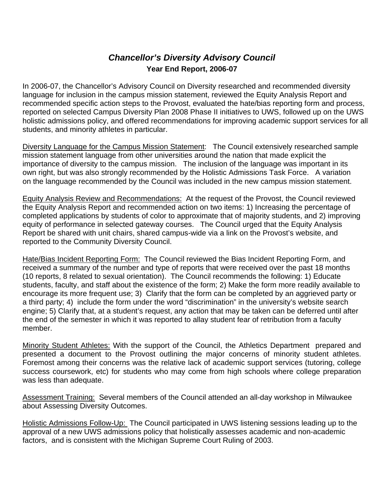# *Chancellor's Diversity Advisory Council*  **Year End Report, 2006-07**

In 2006-07, the Chancellor's Advisory Council on Diversity researched and recommended diversity language for inclusion in the campus mission statement, reviewed the Equity Analysis Report and recommended specific action steps to the Provost, evaluated the hate/bias reporting form and process, reported on selected Campus Diversity Plan 2008 Phase II initiatives to UWS, followed up on the UWS holistic admissions policy, and offered recommendations for improving academic support services for all students, and minority athletes in particular.

Diversity Language for the Campus Mission Statement: The Council extensively researched sample mission statement language from other universities around the nation that made explicit the importance of diversity to the campus mission. The inclusion of the language was important in its own right, but was also strongly recommended by the Holistic Admissions Task Force. A variation on the language recommended by the Council was included in the new campus mission statement.

Equity Analysis Review and Recommendations: At the request of the Provost, the Council reviewed the Equity Analysis Report and recommended action on two items: 1) Increasing the percentage of completed applications by students of color to approximate that of majority students, and 2) improving equity of performance in selected gateway courses. The Council urged that the Equity Analysis Report be shared with unit chairs, shared campus-wide via a link on the Provost's website, and reported to the Community Diversity Council.

Hate/Bias Incident Reporting Form: The Council reviewed the Bias Incident Reporting Form, and received a summary of the number and type of reports that were received over the past 18 months (10 reports, 8 related to sexual orientation). The Council recommends the following: 1) Educate students, faculty, and staff about the existence of the form; 2) Make the form more readily available to encourage its more frequent use; 3) Clarify that the form can be completed by an aggrieved party or a third party; 4) include the form under the word "discrimination" in the university's website search engine; 5) Clarify that, at a student's request, any action that may be taken can be deferred until after the end of the semester in which it was reported to allay student fear of retribution from a faculty member.

Minority Student Athletes: With the support of the Council, the Athletics Department prepared and presented a document to the Provost outlining the major concerns of minority student athletes. Foremost among their concerns was the relative lack of academic support services (tutoring, college success coursework, etc) for students who may come from high schools where college preparation was less than adequate.

Assessment Training: Several members of the Council attended an all-day workshop in Milwaukee about Assessing Diversity Outcomes.

Holistic Admissions Follow-Up: The Council participated in UWS listening sessions leading up to the approval of a new UWS admissions policy that holistically assesses academic and non-academic factors, and is consistent with the Michigan Supreme Court Ruling of 2003.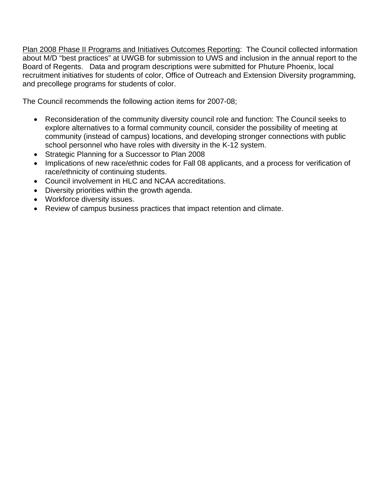Plan 2008 Phase II Programs and Initiatives Outcomes Reporting: The Council collected information about M/D "best practices" at UWGB for submission to UWS and inclusion in the annual report to the Board of Regents. Data and program descriptions were submitted for Phuture Phoenix, local recruitment initiatives for students of color, Office of Outreach and Extension Diversity programming, and precollege programs for students of color.

The Council recommends the following action items for 2007-08;

- Reconsideration of the community diversity council role and function: The Council seeks to explore alternatives to a formal community council, consider the possibility of meeting at community (instead of campus) locations, and developing stronger connections with public school personnel who have roles with diversity in the K-12 system.
- Strategic Planning for a Successor to Plan 2008
- Implications of new race/ethnic codes for Fall 08 applicants, and a process for verification of race/ethnicity of continuing students.
- Council involvement in HLC and NCAA accreditations.
- Diversity priorities within the growth agenda.
- Workforce diversity issues.
- Review of campus business practices that impact retention and climate.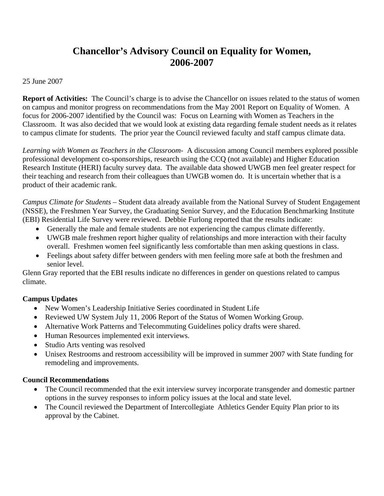# **Chancellor's Advisory Council on Equality for Women, 2006-2007**

25 June 2007

**Report of Activities:** The Council's charge is to advise the Chancellor on issues related to the status of women on campus and monitor progress on recommendations from the May 2001 Report on Equality of Women. A focus for 2006-2007 identified by the Council was: Focus on Learning with Women as Teachers in the Classroom. It was also decided that we would look at existing data regarding female student needs as it relates to campus climate for students. The prior year the Council reviewed faculty and staff campus climate data.

*Learning with Women as Teachers in the Classroom-* A discussion among Council members explored possible professional development co-sponsorships, research using the CCQ (not available) and Higher Education Research Institute (HERI) faculty survey data. The available data showed UWGB men feel greater respect for their teaching and research from their colleagues than UWGB women do. It is uncertain whether that is a product of their academic rank.

*Campus Climate for Students –* Student data already available from the National Survey of Student Engagement (NSSE), the Freshmen Year Survey, the Graduating Senior Survey, and the Education Benchmarking Institute (EBI) Residential Life Survey were reviewed. Debbie Furlong reported that the results indicate:

- Generally the male and female students are not experiencing the campus climate differently.
- UWGB male freshmen report higher quality of relationships and more interaction with their faculty overall. Freshmen women feel significantly less comfortable than men asking questions in class.
- Feelings about safety differ between genders with men feeling more safe at both the freshmen and senior level.

Glenn Gray reported that the EBI results indicate no differences in gender on questions related to campus climate.

# **Campus Updates**

- New Women's Leadership Initiative Series coordinated in Student Life
- Reviewed UW System July 11, 2006 Report of the Status of Women Working Group.
- Alternative Work Patterns and Telecommuting Guidelines policy drafts were shared.
- Human Resources implemented exit interviews.
- Studio Arts venting was resolved
- Unisex Restrooms and restroom accessibility will be improved in summer 2007 with State funding for remodeling and improvements.

# **Council Recommendations**

- The Council recommended that the exit interview survey incorporate transgender and domestic partner options in the survey responses to inform policy issues at the local and state level.
- The Council reviewed the Department of Intercollegiate Athletics Gender Equity Plan prior to its approval by the Cabinet.